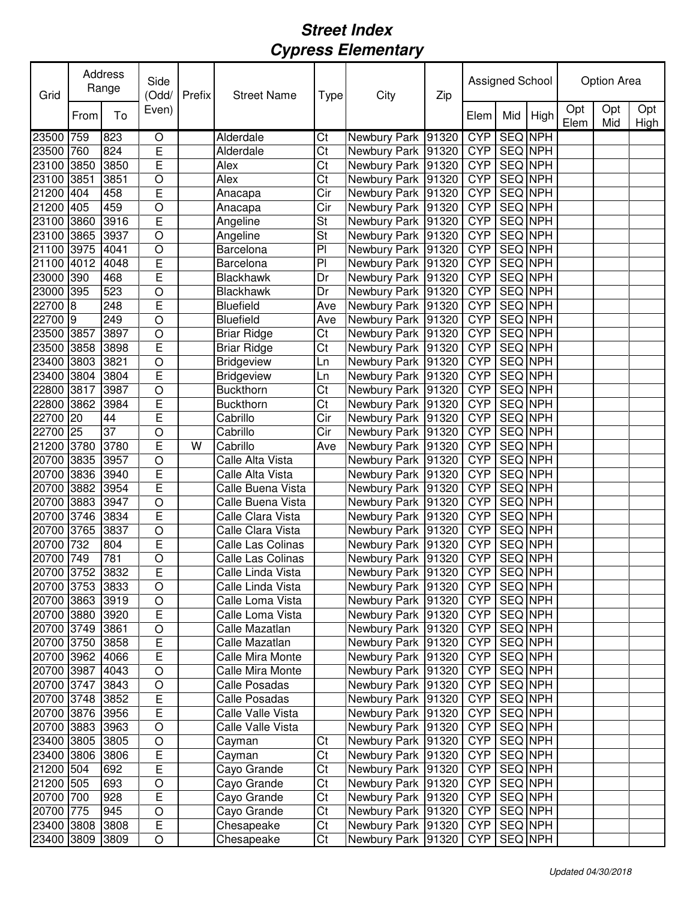| Grid            | Address<br>Range |                 | Side<br>(Odd/           | Prefix | <b>Street Name</b> | <b>Type</b>            | City                   | Zip |                 | Assigned School |         | <b>Option Area</b> |            |             |
|-----------------|------------------|-----------------|-------------------------|--------|--------------------|------------------------|------------------------|-----|-----------------|-----------------|---------|--------------------|------------|-------------|
|                 | From             | To              | Even)                   |        |                    |                        |                        |     | Elem            | Mid             | High    | Opt<br>Elem        | Opt<br>Mid | Opt<br>High |
| 23500 759       |                  | 823             | O                       |        | Alderdale          | Ct                     | Newbury Park 91320     |     | <b>CYP</b>      | <b>SEQ NPH</b>  |         |                    |            |             |
| 23500 760       |                  | 824             | E                       |        | Alderdale          | $\overline{\text{Ct}}$ | Newbury Park 91320     |     | <b>CYP</b>      | <b>SEQ NPH</b>  |         |                    |            |             |
| 23100 3850      |                  | 3850            | Ē                       |        | Alex               | Ct                     | Newbury Park 91320     |     | <b>CYP</b>      | <b>SEQ NPH</b>  |         |                    |            |             |
| 23100 3851      |                  | 3851            | O                       |        | Alex               | Ct                     | Newbury Park 91320     |     | <b>CYP</b>      | SEQ NPH         |         |                    |            |             |
| 21200           | 404              | 458             | E                       |        | Anacapa            | Cir                    | Newbury Park 91320     |     | <b>CYP</b>      | SEQ NPH         |         |                    |            |             |
| 21200           | 405              | 459             | O                       |        | Anacapa            | Cir                    | Newbury Park   91320   |     | <b>CYP</b>      | SEQ NPH         |         |                    |            |             |
| 23100           | 3860             | 3916            | E                       |        | Angeline           | St                     | Newbury Park 91320     |     | <b>CYP</b>      | SEQ NPH         |         |                    |            |             |
| 23100 3865      |                  | 3937            | O                       |        | Angeline           | St                     | Newbury Park   91320   |     | <b>CYP</b>      |                 | SEQ NPH |                    |            |             |
| 21100 3975      |                  | 4041            | $\circ$                 |        | Barcelona          | PI                     | Newbury Park 91320     |     | <b>CYP</b>      | SEQ NPH         |         |                    |            |             |
| 21100 4012      |                  | 4048            | E                       |        | Barcelona          | PI                     | Newbury Park 91320     |     | <b>CYP</b>      | SEQ NPH         |         |                    |            |             |
| 23000 390       |                  | 468             | E                       |        | Blackhawk          | Dr                     | Newbury Park 91320     |     | <b>CYP</b>      | SEQ NPH         |         |                    |            |             |
| 23000 395       |                  | 523             | O                       |        | <b>Blackhawk</b>   | Dr                     | Newbury Park 91320     |     | <b>CYP</b>      | SEQ NPH         |         |                    |            |             |
| 22700 8         |                  | 248             | E                       |        | <b>Bluefield</b>   | Ave                    | Newbury Park 91320     |     | <b>CYP</b>      | SEQ NPH         |         |                    |            |             |
| 22700 9         |                  | 249             | $\overline{O}$          |        | <b>Bluefield</b>   | Ave                    | Newbury Park 91320     |     | <b>CYP</b>      | <b>SEQ NPH</b>  |         |                    |            |             |
| 23500 3857      |                  | 3897            | O                       |        | <b>Briar Ridge</b> | Ct                     | Newbury Park 91320     |     | <b>CYP</b>      | SEQ NPH         |         |                    |            |             |
| 23500 3858      |                  | 3898            | E                       |        | <b>Briar Ridge</b> | Ct                     | Newbury Park   91320   |     | <b>CYP</b>      | SEQ NPH         |         |                    |            |             |
| 23400 3803      |                  | 3821            | O                       |        | <b>Bridgeview</b>  | Ln                     | Newbury Park 91320     |     | <b>CYP</b>      | SEQ NPH         |         |                    |            |             |
| 23400 3804      |                  | 3804            | Ē                       |        | <b>Bridgeview</b>  | Ln                     | Newbury Park 91320     |     | <b>CYP</b>      | SEQ NPH         |         |                    |            |             |
| 22800 3817      |                  | 3987            | O                       |        | <b>Buckthorn</b>   | Ct                     | Newbury Park 91320     |     | <b>CYP</b>      | <b>SEQ NPH</b>  |         |                    |            |             |
| 22800 3862      |                  | 3984            | E                       |        | <b>Buckthorn</b>   | Ct                     | Newbury Park 91320     |     | <b>CYP</b>      | <b>SEQ NPH</b>  |         |                    |            |             |
| 22700 20        |                  | 44              | E                       |        | Cabrillo           | Cir                    | Newbury Park 91320     |     | <b>CYP</b>      | <b>SEQ NPH</b>  |         |                    |            |             |
| 22700 25        |                  | $\overline{37}$ | O                       |        | Cabrillo           | Cir                    | Newbury Park 91320     |     | <b>CYP</b>      | <b>SEQ NPH</b>  |         |                    |            |             |
| 21200 3780      |                  | 3780            | E                       | W      | Cabrillo           | Ave                    | Newbury Park 91320     |     | <b>CYP</b>      | <b>SEQ NPH</b>  |         |                    |            |             |
| 20700           | 3835             | 3957            | $\circ$                 |        | Calle Alta Vista   |                        | Newbury Park 91320     |     | <b>CYP</b>      | <b>SEQ NPH</b>  |         |                    |            |             |
| 20700 3836      |                  | 3940            | E                       |        | Calle Alta Vista   |                        | Newbury Park 91320     |     | <b>CYP</b>      | <b>SEQ NPH</b>  |         |                    |            |             |
| 20700 3882      |                  | 3954            | Ē                       |        | Calle Buena Vista  |                        | Newbury Park 91320     |     | <b>CYP</b>      | <b>SEQ NPH</b>  |         |                    |            |             |
| 20700 3883      |                  | 3947            | O                       |        | Calle Buena Vista  |                        | Newbury Park 91320     |     | <b>CYP</b>      | <b>SEQ NPH</b>  |         |                    |            |             |
| 20700 3746      |                  | 3834            | E                       |        | Calle Clara Vista  |                        | Newbury Park 91320     |     | <b>CYP</b>      | SEQ NPH         |         |                    |            |             |
| 20700 3765      |                  | 3837            | O                       |        | Calle Clara Vista  |                        | Newbury Park 91320     |     | <b>CYP</b>      | SEQ NPH         |         |                    |            |             |
| 20700 732       |                  | 804             | E                       |        | Calle Las Colinas  |                        | Newbury Park 91320     |     | <b>CYP</b>      | SEQ NPH         |         |                    |            |             |
| 20700 749       |                  | 781             | $\circ$                 |        | Calle Las Colinas  |                        | Newbury Park 91320     |     | C <sub>YP</sub> | SEQ NPH         |         |                    |            |             |
| 20700 3752 3832 |                  |                 | E                       |        | Calle Linda Vista  |                        | Newbury Park 91320 CYP |     |                 | <b>SEQ NPH</b>  |         |                    |            |             |
| 20700 3753 3833 |                  |                 | $\circ$                 |        | Calle Linda Vista  |                        | Newbury Park   91320   |     | <b>CYP</b>      | SEQ NPH         |         |                    |            |             |
| 20700 3863 3919 |                  |                 | $\bigcirc$              |        | Calle Loma Vista   |                        | Newbury Park   91320   |     | CYP             | SEQ NPH         |         |                    |            |             |
| 20700 3880 3920 |                  |                 | $\overline{\mathsf{E}}$ |        | Calle Loma Vista   |                        | Newbury Park 91320     |     | <b>CYP</b>      | SEQ NPH         |         |                    |            |             |
| 20700 3749 3861 |                  |                 | $\bigcirc$              |        | Calle Mazatlan     |                        | Newbury Park 91320     |     | <b>CYP</b>      | SEQ NPH         |         |                    |            |             |
| 20700 3750      |                  | 3858            | E                       |        | Calle Mazatlan     |                        | Newbury Park 91320     |     | <b>CYP</b>      | SEQ NPH         |         |                    |            |             |
| 20700 3962      |                  | 4066            | E                       |        | Calle Mira Monte   |                        | Newbury Park   91320   |     | <b>CYP</b>      | SEQ NPH         |         |                    |            |             |
| 20700 3987      |                  | 4043            | $\circ$                 |        | Calle Mira Monte   |                        | Newbury Park   91320   |     | <b>CYP</b>      | SEQ NPH         |         |                    |            |             |
| 20700 3747      |                  | 3843            | $\circ$                 |        | Calle Posadas      |                        | Newbury Park   91320   |     | <b>CYP</b>      | SEQ NPH         |         |                    |            |             |
| 20700 3748      |                  | 3852            | E                       |        | Calle Posadas      |                        | Newbury Park   91320   |     | <b>CYP</b>      | SEQ NPH         |         |                    |            |             |
| 20700 3876      |                  | 3956            | $\overline{E}$          |        | Calle Valle Vista  |                        | Newbury Park 91320     |     | <b>CYP</b>      | SEQ NPH         |         |                    |            |             |
| 20700 3883      |                  | 3963            | $\bigcirc$              |        | Calle Valle Vista  |                        | Newbury Park 91320     |     | <b>CYP</b>      | SEQ NPH         |         |                    |            |             |
| 23400 3805      |                  | 3805            | $\bigcirc$              |        | Cayman             | Ct                     | Newbury Park 91320     |     | <b>CYP</b>      | SEQ NPH         |         |                    |            |             |
| 23400 3806      |                  | 3806            | $\mathsf E$             |        | Cayman             | Ct                     | Newbury Park 91320     |     | <b>CYP</b>      | SEQ NPH         |         |                    |            |             |
| 21200 504       |                  | 692             | $\mathsf E$             |        | Cayo Grande        | Ct                     | Newbury Park 91320     |     | <b>CYP</b>      | SEQ NPH         |         |                    |            |             |
| 21200 505       |                  | 693             | $\circ$                 |        | Cayo Grande        | Ct                     | Newbury Park   91320   |     | <b>CYP</b>      | SEQ NPH         |         |                    |            |             |
| 20700 700       |                  | 928             | $\overline{E}$          |        | Cayo Grande        | Ct                     | Newbury Park 91320     |     | <b>CYP</b>      | SEQ NPH         |         |                    |            |             |
| 20700 775       |                  | 945             | $\circ$                 |        | Cayo Grande        | Ct                     | Newbury Park   91320   |     | <b>CYP</b>      | <b>SEQ NPH</b>  |         |                    |            |             |
| 23400 3808      |                  | 3808            | E                       |        | Chesapeake         | Ct                     | Newbury Park 91320     |     | <b>CYP</b>      |                 | SEQ NPH |                    |            |             |
| 23400 3809      |                  | 3809            | $\bigcirc$              |        | Chesapeake         | $\overline{\text{C}t}$ | Newbury Park   91320   |     | <b>CYP</b>      |                 | SEQ NPH |                    |            |             |
|                 |                  |                 |                         |        |                    |                        |                        |     |                 |                 |         |                    |            |             |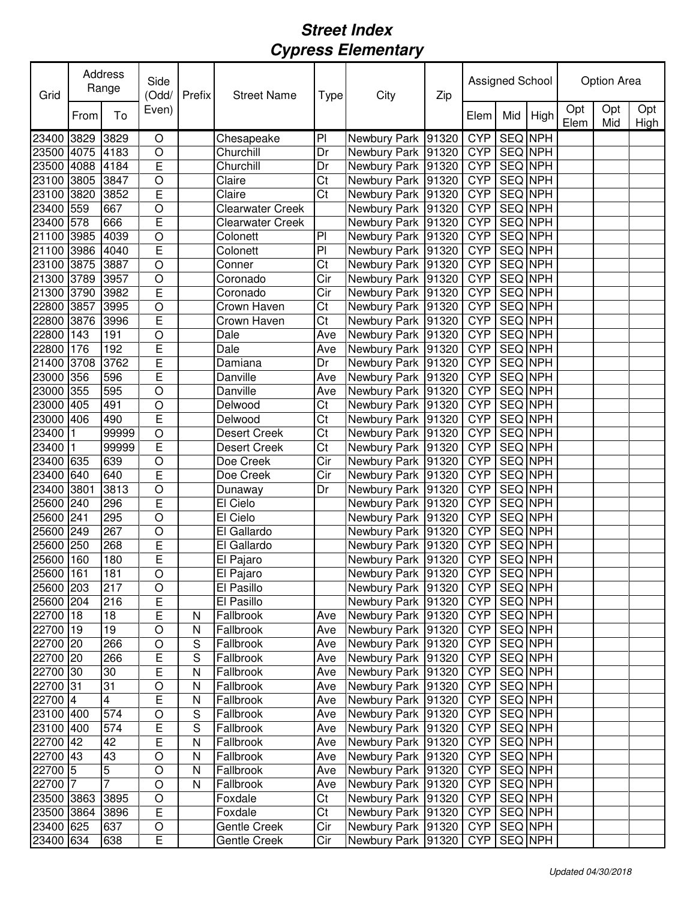| Grid       |      | Address<br>Range        | Side<br>(Odd/           | Prefix      | <b>Street Name</b>      | Type                    | City                   | Zip | Assigned School |                |                | <b>Option Area</b> |            |                    |
|------------|------|-------------------------|-------------------------|-------------|-------------------------|-------------------------|------------------------|-----|-----------------|----------------|----------------|--------------------|------------|--------------------|
|            | From | To                      | Even)                   |             |                         |                         |                        |     | Elem            | Mid            | High           | Opt<br>Elem        | Opt<br>Mid | Opt<br><b>High</b> |
| 23400 3829 |      | 3829                    | O                       |             | Chesapeake              | P <sub>1</sub>          | Newbury Park 91320     |     | <b>CYP</b>      | SEQ NPH        |                |                    |            |                    |
| 23500 4075 |      | 4183                    | O                       |             | Churchill               | Dr                      | Newbury Park 91320     |     | <b>CYP</b>      | SEQ NPH        |                |                    |            |                    |
| 23500      | 4088 | 4184                    | $\overline{\mathsf{E}}$ |             | Churchill               | Dr                      | Newbury Park 91320     |     | <b>CYP</b>      | SEQ NPH        |                |                    |            |                    |
| 23100 3805 |      | 3847                    | $\circ$                 |             | Claire                  | Ct                      | Newbury Park 91320     |     | <b>CYP</b>      | SEQ NPH        |                |                    |            |                    |
| 23100 3820 |      | 3852                    | E                       |             | Claire                  | Ct                      | Newbury Park 91320     |     | <b>CYP</b>      | SEQ NPH        |                |                    |            |                    |
| 23400 559  |      | 667                     | $\circ$                 |             | <b>Clearwater Creek</b> |                         | Newbury Park 91320     |     | <b>CYP</b>      | SEQ NPH        |                |                    |            |                    |
| 23400 578  |      | 666                     | E                       |             | <b>Clearwater Creek</b> |                         | Newbury Park 91320     |     | <b>CYP</b>      | <b>SEQ NPH</b> |                |                    |            |                    |
| 21100 3985 |      | 4039                    | $\circ$                 |             | Colonett                | P <sub>1</sub>          | Newbury Park 91320     |     | <b>CYP</b>      | <b>SEQ NPH</b> |                |                    |            |                    |
| 21100 3986 |      | 4040                    | E                       |             | Colonett                | PI                      | Newbury Park 91320     |     | <b>CYP</b>      | <b>SEQ NPH</b> |                |                    |            |                    |
| 23100 3875 |      | 3887                    | O                       |             | Conner                  | $\overline{\text{C}t}$  | Newbury Park 91320     |     | <b>CYP</b>      | <b>SEQ NPH</b> |                |                    |            |                    |
| 21300 3789 |      | 3957                    | $\circ$                 |             | Coronado                | Cir                     | Newbury Park 91320     |     | <b>CYP</b>      | <b>SEQ NPH</b> |                |                    |            |                    |
| 21300 3790 |      | 3982                    | E                       |             | Coronado                | $\overline{\text{Cir}}$ | Newbury Park 91320     |     | <b>CYP</b>      | <b>SEQ NPH</b> |                |                    |            |                    |
| 22800 3857 |      | 3995                    | $\circ$                 |             | Crown Haven             | Ct                      | Newbury Park 91320     |     | <b>CYP</b>      | <b>SEQ NPH</b> |                |                    |            |                    |
| 22800 3876 |      | 3996                    | Ē                       |             | Crown Haven             | $\overline{\text{C}t}$  | Newbury Park 91320     |     | <b>CYP</b>      | <b>SEQ NPH</b> |                |                    |            |                    |
| 22800 143  |      | 191                     | O                       |             | Dale                    | Ave                     | Newbury Park 91320     |     | <b>CYP</b>      | <b>SEQ NPH</b> |                |                    |            |                    |
| 22800 176  |      | 192                     | Ē                       |             | Dale                    | Ave                     | Newbury Park 91320     |     | <b>CYP</b>      | <b>SEQ NPH</b> |                |                    |            |                    |
| 21400 3708 |      | 3762                    | E                       |             | Damiana                 | Dr                      | Newbury Park 91320     |     | <b>CYP</b>      | <b>SEQ NPH</b> |                |                    |            |                    |
| 23000 356  |      | 596                     | E                       |             | Danville                | Ave                     | Newbury Park 91320     |     | <b>CYP</b>      | SEQ NPH        |                |                    |            |                    |
| 23000 355  |      | 595                     | O                       |             | Danville                | Ave                     | Newbury Park 91320     |     | <b>CYP</b>      | SEQ NPH        |                |                    |            |                    |
| 23000 405  |      | 491                     | $\circ$                 |             | Delwood                 | Ct                      | Newbury Park 91320     |     | <b>CYP</b>      | SEQ NPH        |                |                    |            |                    |
| 23000 406  |      | 490                     | E                       |             | Delwood                 | Ct                      | Newbury Park 91320     |     | <b>CYP</b>      | SEQ NPH        |                |                    |            |                    |
| 23400 1    |      | 99999                   | $\bigcirc$              |             | <b>Desert Creek</b>     | Ct                      | Newbury Park 91320     |     | <b>CYP</b>      | SEQ NPH        |                |                    |            |                    |
| 23400 1    |      | 99999                   | E                       |             | <b>Desert Creek</b>     | Ct                      | Newbury Park 91320     |     | <b>CYP</b>      | SEQ NPH        |                |                    |            |                    |
| 23400 635  |      | 639                     | $\bigcirc$              |             | Doe Creek               | Cir                     | Newbury Park 91320     |     | <b>CYP</b>      | SEQ NPH        |                |                    |            |                    |
| 23400 640  |      | 640                     | $\overline{E}$          |             | Doe Creek               | Cir                     | Newbury Park 91320     |     | <b>CYP</b>      | SEQ NPH        |                |                    |            |                    |
| 23400 3801 |      | 3813                    | $\circ$                 |             | Dunaway                 | Dr                      | Newbury Park 91320     |     | <b>CYP</b>      | SEQ NPH        |                |                    |            |                    |
| 25600 240  |      | 296                     | $\overline{\mathsf{E}}$ |             | El Cielo                |                         | Newbury Park 91320     |     | <b>CYP</b>      | <b>SEQ NPH</b> |                |                    |            |                    |
| 25600 241  |      | 295                     | $\circ$                 |             | El Cielo                |                         | Newbury Park 91320     |     | <b>CYP</b>      | <b>SEQ NPH</b> |                |                    |            |                    |
| 25600 249  |      | 267                     | $\circ$                 |             | El Gallardo             |                         | Newbury Park 91320     |     | <b>CYP</b>      | SEQ NPH        |                |                    |            |                    |
| 25600 250  |      | 268                     | E                       |             | El Gallardo             |                         | Newbury Park   91320   |     | <b>CYP</b>      | SEQ NPH        |                |                    |            |                    |
| 25600 160  |      | 180                     | Ē                       |             | El Pajaro               |                         | Newbury Park 91320     |     | <b>CYP</b>      | SEQ NPH        |                |                    |            |                    |
| 25600 161  |      | 181                     | $\overline{\circ}$      |             | El Pajaro               |                         | Newbury Park 91320 CYP |     |                 | SEQ NPH        |                |                    |            |                    |
| 25600 203  |      | 217                     | $\circ$                 |             | El Pasillo              |                         | Newbury Park   91320   |     | <b>CYP</b>      |                | SEQ NPH        |                    |            |                    |
| 25600 204  |      | 216                     | $\overline{E}$          |             | El Pasillo              |                         | Newbury Park 91320     |     | <b>CYP</b>      |                | SEQ NPH        |                    |            |                    |
| 22700 18   |      | 18                      | $\overline{E}$          | N           | Fallbrook               | Ave                     | Newbury Park 91320     |     | <b>CYP</b>      |                | SEQ NPH        |                    |            |                    |
| 22700 19   |      | 19                      | $\circ$                 | N           | Fallbrook               | Ave                     | Newbury Park   91320   |     | <b>CYP</b>      |                | <b>SEQ NPH</b> |                    |            |                    |
| 22700 20   |      | 266                     | $\circ$                 | S           | Fallbrook               | Ave                     | Newbury Park 91320     |     | <b>CYP</b>      |                | <b>SEQ NPH</b> |                    |            |                    |
| 22700 20   |      | 266                     | $\overline{E}$          | S           | Fallbrook               | Ave                     | Newbury Park 91320     |     | <b>CYP</b>      |                | SEQ NPH        |                    |            |                    |
| 22700 30   |      | 30                      | E                       | N           | Fallbrook               | Ave                     | Newbury Park 91320     |     | <b>CYP</b>      |                | <b>SEQ NPH</b> |                    |            |                    |
| 22700 31   |      | 31                      | $\circ$                 | N           | Fallbrook               | Ave                     | Newbury Park 91320     |     | <b>CYP</b>      |                | <b>SEQ NPH</b> |                    |            |                    |
| 22700 4    |      | $\overline{\mathbf{4}}$ | E                       | N           | Fallbrook               | Ave                     | Newbury Park 91320     |     | <b>CYP</b>      |                | SEQ NPH        |                    |            |                    |
| 23100 400  |      | 574                     | $\circ$                 | $\mathbf S$ | Fallbrook               | Ave                     | Newbury Park 91320     |     | <b>CYP</b>      |                | SEQ NPH        |                    |            |                    |
| 23100 400  |      | 574                     | $\mathsf E$             | $\mathbf S$ | Fallbrook               | Ave                     | Newbury Park 91320     |     | <b>CYP</b>      |                | SEQ NPH        |                    |            |                    |
| 22700 42   |      | 42                      | E                       | N           | Fallbrook               | Ave                     | Newbury Park 91320     |     | <b>CYP</b>      |                | SEQ NPH        |                    |            |                    |
| 22700 43   |      | 43                      | $\circ$                 | N           | Fallbrook               | Ave                     | Newbury Park 91320     |     | <b>CYP</b>      |                | SEQ NPH        |                    |            |                    |
| 22700 5    |      | 5                       | $\circ$                 | N           | Fallbrook               | Ave                     | Newbury Park 91320     |     | <b>CYP</b>      |                | SEQ NPH        |                    |            |                    |
| 22700 7    |      | $\overline{7}$          | $\circ$                 | N           | Fallbrook               | Ave                     | Newbury Park 91320     |     | <b>CYP</b>      |                | SEQ NPH        |                    |            |                    |
| 23500 3863 |      | 3895                    | $\bigcirc$              |             | Foxdale                 | Ct                      | Newbury Park 91320     |     | <b>CYP</b>      |                | SEQ NPH        |                    |            |                    |
| 23500 3864 |      | 3896                    | $\overline{E}$          |             | Foxdale                 | Ct                      | Newbury Park 91320     |     | <b>CYP</b>      |                | SEQ NPH        |                    |            |                    |
| 23400 625  |      | 637                     | $\bigcirc$              |             | <b>Gentle Creek</b>     | Cir                     | Newbury Park 91320     |     | <b>CYP</b>      |                | SEQ NPH        |                    |            |                    |
| 23400 634  |      | 638                     | $\overline{E}$          |             | Gentle Creek            | Cir                     | Newbury Park 91320     |     | <b>CYP</b>      |                | SEQ NPH        |                    |            |                    |
|            |      |                         |                         |             |                         |                         |                        |     |                 |                |                |                    |            |                    |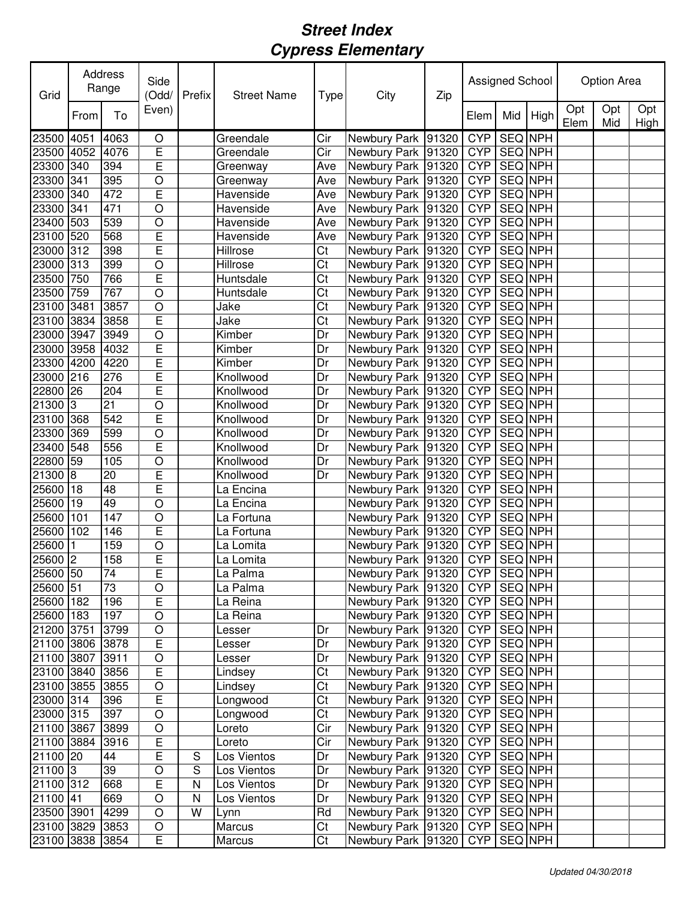| Opt<br>Opt<br>Opt<br>Even)<br>To<br>Mid<br>High<br>From<br>Elem<br>Elem<br>Mid<br>High<br><b>SEQ NPH</b><br><b>CYP</b><br>4063<br>Greendale<br>Cir<br>Newbury Park<br>91320<br>23500 4051<br>O<br>E<br>SEQ NPH<br>23500 4052<br>4076<br><b>CYP</b><br>Greendale<br>Cir<br>Newbury Park 91320<br>E<br><b>CYP</b><br>SEQ NPH<br>23300 340<br>394<br>Newbury Park 91320<br>Greenway<br>Ave<br>$\circ$<br>C <sub>YP</sub><br>SEQ NPH<br>23300 341<br>395<br>Greenway<br>Newbury Park 91320<br>Ave<br>E<br><b>CYP</b><br>SEQ NPH<br>23300 340<br>472<br>Havenside<br>Newbury Park 91320<br>Ave<br><b>CYP</b><br>SEQ NPH<br>23300 341<br>O<br>Havenside<br>Newbury Park 91320<br>471<br>Ave<br><b>SEQ NPH</b><br><b>CYP</b><br>23400 503<br>539<br>O<br>Havenside<br>Newbury Park 91320<br>Ave<br>E<br><b>SEQ NPH</b><br>23100 520<br>Newbury Park 91320<br><b>CYP</b><br>568<br>Havenside<br>Ave<br><b>SEQ NPH</b><br>23000 312<br>E<br><b>Hillrose</b><br><b>CYP</b><br>398<br>Ct<br>Newbury Park 91320<br><b>CYP</b><br><b>SEQ NPH</b><br>23000 313<br>Hillrose<br>Newbury Park 91320<br>399<br>O<br>Ct<br>E<br>$\overline{\text{Ct}}$<br><b>CYP</b><br><b>SEQ NPH</b><br>23500 750<br>Newbury Park 91320<br>766<br>Huntsdale<br><b>CYP</b><br><b>SEQ NPH</b><br>$\circ$<br>Ct<br>Newbury Park 91320<br>23500 759<br>767<br>Huntsdale<br>$\overline{\text{Ct}}$<br><b>CYP</b><br><b>SEQ NPH</b><br>23100 3481<br>3857<br>$\circ$<br>Jake<br>Newbury Park 91320<br>E<br><b>CYP</b><br><b>SEQ NPH</b><br>3858<br>Jake<br>Ct<br>Newbury Park 91320<br>23100 3834<br>$\overline{O}$<br><b>CYP</b><br><b>SEQ NPH</b><br>23000 3947<br>3949<br>Dr<br>Newbury Park 91320<br>Kimber<br>Ē<br><b>CYP</b><br><b>SEQ NPH</b><br>23000 3958<br>4032<br>Kimber<br>Dr<br>Newbury Park 91320<br>Ē<br><b>CYP</b><br><b>SEQ NPH</b><br>23300 4200<br>4220<br>Newbury Park 91320<br>Kimber<br>Dr<br>E<br><b>CYP</b><br>SEQ NPH<br>23000 216<br>Newbury Park 91320<br>276<br>Knollwood<br>Dr<br>E<br><b>CYP</b><br>SEQ NPH<br>22800 26<br>Newbury Park 91320<br>204<br>Knollwood<br>Dr<br>SEQ NPH<br>21300 3<br>21<br>O<br><b>CYP</b><br>Knollwood<br>Newbury Park 91320<br>Dr<br>E<br>SEQ NPH<br><b>CYP</b><br>23100 368<br>542<br>Knollwood<br>Newbury Park 91320<br>Dr<br>SEQ NPH<br>23300 369<br>599<br><b>CYP</b><br>O<br>Knollwood<br>Newbury Park 91320<br>Dr<br>E<br><b>CYP</b><br>SEQ NPH<br>23400 548<br>556<br>Knollwood<br>Newbury Park 91320<br>Dr<br><b>SEQ NPH</b><br>22800 59<br>O<br><b>CYP</b><br>105<br>Knollwood<br>Dr<br>Newbury Park   91320<br>E<br>21300 8<br>SEQ NPH<br>91320<br><b>CYP</b><br>20<br>Knollwood<br>Newbury Park<br>Dr<br>E<br><b>CYP</b><br>SEQ NPH<br>25600 18<br>48<br>La Encina<br>Newbury Park 91320<br>$\circ$<br><b>CYP</b><br>SEQ NPH<br>25600 19<br>49<br>Newbury Park 91320<br>La Encina<br><b>SEQ NPH</b><br>$\circ$<br><b>CYP</b><br>25600 101<br>147<br>Newbury Park 91320<br>La Fortuna<br>E<br><b>CYP</b><br>SEQ NPH<br>25600 102<br>146<br>La Fortuna<br>Newbury Park 91320<br><b>CYP</b><br>SEQ NPH<br>25600<br>O<br>1<br>159<br>La Lomita<br>Newbury Park 91320<br>E<br>$25600$ <sup>2</sup><br><b>CYP</b><br>SEQ NPH<br>Newbury Park 91320<br>158<br>La Lomita<br>25600 50<br>E<br><b>SEQ NPH</b><br>74<br>Newbury Park 91320<br>CYP<br>La Palma<br>73<br>25600 51<br>$\overline{O}$<br>CYP   SEQ NPH<br>Newbury Park   91320  <br>La Palma<br>E<br>196<br>SEQ NPH<br>25600 182<br>La Reina<br>Newbury Park 91320<br>CYP  <br><b>SEQ NPH</b><br>25600 183<br>197<br>Newbury Park 91320<br>O<br><b>CYP</b><br>La Reina<br><b>SEQ NPH</b><br>$\circ$<br>Newbury Park   91320  <br><b>CYP</b><br>21200 3751<br>3799<br>Dr<br>Lesser<br>E<br><b>SEQ NPH</b><br>Newbury Park 91320<br><b>CYP</b><br>21100 3806<br>3878<br>Dr<br>Lesser<br><b>SEQ NPH</b><br>$\circ$<br>Newbury Park 91320<br><b>CYP</b><br>21100 3807<br>3911<br>Dr<br>Lesser<br>E<br>Newbury Park 91320<br>SEQ NPH<br>23100 3840<br>Lindsey<br>Ct<br><b>CYP</b><br>3856<br>$\overline{\text{Ct}}$<br><b>SEQ NPH</b><br>$\circ$<br>Newbury Park 91320<br><b>CYP</b><br>23100 3855<br>3855<br>Lindsey<br>E<br><b>SEQ NPH</b><br>Newbury Park 91320<br><b>CYP</b><br>23000 314<br>Ct<br>396<br>Longwood<br>Ct<br>Newbury Park 91320<br><b>CYP</b><br>SEQ NPH<br>23000 315<br>397<br>$\bigcirc$<br>Longwood<br>$\bigcirc$<br>Newbury Park 91320<br>SEQ NPH<br>21100 3867<br>3899<br>Loreto<br>Cir<br><b>CYP</b><br>21100 3884<br>E<br>Newbury Park 91320<br>SEQ NPH<br>3916<br>Cir<br><b>CYP</b><br>Loreto<br>E<br>SEQ NPH<br>21100 20<br>Dr<br><b>CYP</b><br>44<br>S<br>Newbury Park   91320<br>Los Vientos<br>21100 3<br>S<br>Newbury Park 91320<br>SEQ NPH<br>39<br>O<br><b>CYP</b><br>Los Vientos<br>Dr<br>E<br>SEQ NPH<br>Newbury Park 91320<br><b>CYP</b><br>21100 312<br>668<br>N<br>Los Vientos<br>Dr<br>21100 41<br>Newbury Park 91320<br>SEQ NPH<br>669<br>$\circ$<br>N<br>Los Vientos<br>Dr<br><b>CYP</b><br>SEQ NPH<br>$\circ$<br>W<br>Rd<br>23500 3901<br>4299<br>Newbury Park   91320<br><b>CYP</b><br>Lynn<br>SEQ NPH<br>3853<br>$\bigcirc$<br>Ct<br>Newbury Park 91320<br>23100 3829<br>Marcus<br><b>CYP</b><br>E<br>Ct<br>SEQ NPH<br>23100 3838<br>3854<br>Newbury Park 91320<br><b>CYP</b><br>Marcus | Grid | Address<br>Range |  | Side<br>(Odd/ | Prefix | <b>Street Name</b> | Type | City | Zip | Assigned School |  |  | <b>Option Area</b> |  |  |
|-------------------------------------------------------------------------------------------------------------------------------------------------------------------------------------------------------------------------------------------------------------------------------------------------------------------------------------------------------------------------------------------------------------------------------------------------------------------------------------------------------------------------------------------------------------------------------------------------------------------------------------------------------------------------------------------------------------------------------------------------------------------------------------------------------------------------------------------------------------------------------------------------------------------------------------------------------------------------------------------------------------------------------------------------------------------------------------------------------------------------------------------------------------------------------------------------------------------------------------------------------------------------------------------------------------------------------------------------------------------------------------------------------------------------------------------------------------------------------------------------------------------------------------------------------------------------------------------------------------------------------------------------------------------------------------------------------------------------------------------------------------------------------------------------------------------------------------------------------------------------------------------------------------------------------------------------------------------------------------------------------------------------------------------------------------------------------------------------------------------------------------------------------------------------------------------------------------------------------------------------------------------------------------------------------------------------------------------------------------------------------------------------------------------------------------------------------------------------------------------------------------------------------------------------------------------------------------------------------------------------------------------------------------------------------------------------------------------------------------------------------------------------------------------------------------------------------------------------------------------------------------------------------------------------------------------------------------------------------------------------------------------------------------------------------------------------------------------------------------------------------------------------------------------------------------------------------------------------------------------------------------------------------------------------------------------------------------------------------------------------------------------------------------------------------------------------------------------------------------------------------------------------------------------------------------------------------------------------------------------------------------------------------------------------------------------------------------------------------------------------------------------------------------------------------------------------------------------------------------------------------------------------------------------------------------------------------------------------------------------------------------------------------------------------------------------------------------------------------------------------------------------------------------------------------------------------------------------------------------------------------------------------------------------------------------------------------------------------------------------------------------------------------------------------------------------------------------------------------------------------------------------------------------------------------------------------------------------------------------------------------------------------------------------------------------------------------------------------------------------------------------------------------------------------------------------------------------------------------------------------------------------------------------------------------------------------------------------------------------------------------------------------------------------------------------------------------------------------------------------------------------------------------------------------------------------------------------------|------|------------------|--|---------------|--------|--------------------|------|------|-----|-----------------|--|--|--------------------|--|--|
|                                                                                                                                                                                                                                                                                                                                                                                                                                                                                                                                                                                                                                                                                                                                                                                                                                                                                                                                                                                                                                                                                                                                                                                                                                                                                                                                                                                                                                                                                                                                                                                                                                                                                                                                                                                                                                                                                                                                                                                                                                                                                                                                                                                                                                                                                                                                                                                                                                                                                                                                                                                                                                                                                                                                                                                                                                                                                                                                                                                                                                                                                                                                                                                                                                                                                                                                                                                                                                                                                                                                                                                                                                                                                                                                                                                                                                                                                                                                                                                                                                                                                                                                                                                                                                                                                                                                                                                                                                                                                                                                                                                                                                                                                                                                                                                                                                                                                                                                                                                                                                                                                                                                                                                                                   |      |                  |  |               |        |                    |      |      |     |                 |  |  |                    |  |  |
|                                                                                                                                                                                                                                                                                                                                                                                                                                                                                                                                                                                                                                                                                                                                                                                                                                                                                                                                                                                                                                                                                                                                                                                                                                                                                                                                                                                                                                                                                                                                                                                                                                                                                                                                                                                                                                                                                                                                                                                                                                                                                                                                                                                                                                                                                                                                                                                                                                                                                                                                                                                                                                                                                                                                                                                                                                                                                                                                                                                                                                                                                                                                                                                                                                                                                                                                                                                                                                                                                                                                                                                                                                                                                                                                                                                                                                                                                                                                                                                                                                                                                                                                                                                                                                                                                                                                                                                                                                                                                                                                                                                                                                                                                                                                                                                                                                                                                                                                                                                                                                                                                                                                                                                                                   |      |                  |  |               |        |                    |      |      |     |                 |  |  |                    |  |  |
|                                                                                                                                                                                                                                                                                                                                                                                                                                                                                                                                                                                                                                                                                                                                                                                                                                                                                                                                                                                                                                                                                                                                                                                                                                                                                                                                                                                                                                                                                                                                                                                                                                                                                                                                                                                                                                                                                                                                                                                                                                                                                                                                                                                                                                                                                                                                                                                                                                                                                                                                                                                                                                                                                                                                                                                                                                                                                                                                                                                                                                                                                                                                                                                                                                                                                                                                                                                                                                                                                                                                                                                                                                                                                                                                                                                                                                                                                                                                                                                                                                                                                                                                                                                                                                                                                                                                                                                                                                                                                                                                                                                                                                                                                                                                                                                                                                                                                                                                                                                                                                                                                                                                                                                                                   |      |                  |  |               |        |                    |      |      |     |                 |  |  |                    |  |  |
|                                                                                                                                                                                                                                                                                                                                                                                                                                                                                                                                                                                                                                                                                                                                                                                                                                                                                                                                                                                                                                                                                                                                                                                                                                                                                                                                                                                                                                                                                                                                                                                                                                                                                                                                                                                                                                                                                                                                                                                                                                                                                                                                                                                                                                                                                                                                                                                                                                                                                                                                                                                                                                                                                                                                                                                                                                                                                                                                                                                                                                                                                                                                                                                                                                                                                                                                                                                                                                                                                                                                                                                                                                                                                                                                                                                                                                                                                                                                                                                                                                                                                                                                                                                                                                                                                                                                                                                                                                                                                                                                                                                                                                                                                                                                                                                                                                                                                                                                                                                                                                                                                                                                                                                                                   |      |                  |  |               |        |                    |      |      |     |                 |  |  |                    |  |  |
|                                                                                                                                                                                                                                                                                                                                                                                                                                                                                                                                                                                                                                                                                                                                                                                                                                                                                                                                                                                                                                                                                                                                                                                                                                                                                                                                                                                                                                                                                                                                                                                                                                                                                                                                                                                                                                                                                                                                                                                                                                                                                                                                                                                                                                                                                                                                                                                                                                                                                                                                                                                                                                                                                                                                                                                                                                                                                                                                                                                                                                                                                                                                                                                                                                                                                                                                                                                                                                                                                                                                                                                                                                                                                                                                                                                                                                                                                                                                                                                                                                                                                                                                                                                                                                                                                                                                                                                                                                                                                                                                                                                                                                                                                                                                                                                                                                                                                                                                                                                                                                                                                                                                                                                                                   |      |                  |  |               |        |                    |      |      |     |                 |  |  |                    |  |  |
|                                                                                                                                                                                                                                                                                                                                                                                                                                                                                                                                                                                                                                                                                                                                                                                                                                                                                                                                                                                                                                                                                                                                                                                                                                                                                                                                                                                                                                                                                                                                                                                                                                                                                                                                                                                                                                                                                                                                                                                                                                                                                                                                                                                                                                                                                                                                                                                                                                                                                                                                                                                                                                                                                                                                                                                                                                                                                                                                                                                                                                                                                                                                                                                                                                                                                                                                                                                                                                                                                                                                                                                                                                                                                                                                                                                                                                                                                                                                                                                                                                                                                                                                                                                                                                                                                                                                                                                                                                                                                                                                                                                                                                                                                                                                                                                                                                                                                                                                                                                                                                                                                                                                                                                                                   |      |                  |  |               |        |                    |      |      |     |                 |  |  |                    |  |  |
|                                                                                                                                                                                                                                                                                                                                                                                                                                                                                                                                                                                                                                                                                                                                                                                                                                                                                                                                                                                                                                                                                                                                                                                                                                                                                                                                                                                                                                                                                                                                                                                                                                                                                                                                                                                                                                                                                                                                                                                                                                                                                                                                                                                                                                                                                                                                                                                                                                                                                                                                                                                                                                                                                                                                                                                                                                                                                                                                                                                                                                                                                                                                                                                                                                                                                                                                                                                                                                                                                                                                                                                                                                                                                                                                                                                                                                                                                                                                                                                                                                                                                                                                                                                                                                                                                                                                                                                                                                                                                                                                                                                                                                                                                                                                                                                                                                                                                                                                                                                                                                                                                                                                                                                                                   |      |                  |  |               |        |                    |      |      |     |                 |  |  |                    |  |  |
|                                                                                                                                                                                                                                                                                                                                                                                                                                                                                                                                                                                                                                                                                                                                                                                                                                                                                                                                                                                                                                                                                                                                                                                                                                                                                                                                                                                                                                                                                                                                                                                                                                                                                                                                                                                                                                                                                                                                                                                                                                                                                                                                                                                                                                                                                                                                                                                                                                                                                                                                                                                                                                                                                                                                                                                                                                                                                                                                                                                                                                                                                                                                                                                                                                                                                                                                                                                                                                                                                                                                                                                                                                                                                                                                                                                                                                                                                                                                                                                                                                                                                                                                                                                                                                                                                                                                                                                                                                                                                                                                                                                                                                                                                                                                                                                                                                                                                                                                                                                                                                                                                                                                                                                                                   |      |                  |  |               |        |                    |      |      |     |                 |  |  |                    |  |  |
|                                                                                                                                                                                                                                                                                                                                                                                                                                                                                                                                                                                                                                                                                                                                                                                                                                                                                                                                                                                                                                                                                                                                                                                                                                                                                                                                                                                                                                                                                                                                                                                                                                                                                                                                                                                                                                                                                                                                                                                                                                                                                                                                                                                                                                                                                                                                                                                                                                                                                                                                                                                                                                                                                                                                                                                                                                                                                                                                                                                                                                                                                                                                                                                                                                                                                                                                                                                                                                                                                                                                                                                                                                                                                                                                                                                                                                                                                                                                                                                                                                                                                                                                                                                                                                                                                                                                                                                                                                                                                                                                                                                                                                                                                                                                                                                                                                                                                                                                                                                                                                                                                                                                                                                                                   |      |                  |  |               |        |                    |      |      |     |                 |  |  |                    |  |  |
|                                                                                                                                                                                                                                                                                                                                                                                                                                                                                                                                                                                                                                                                                                                                                                                                                                                                                                                                                                                                                                                                                                                                                                                                                                                                                                                                                                                                                                                                                                                                                                                                                                                                                                                                                                                                                                                                                                                                                                                                                                                                                                                                                                                                                                                                                                                                                                                                                                                                                                                                                                                                                                                                                                                                                                                                                                                                                                                                                                                                                                                                                                                                                                                                                                                                                                                                                                                                                                                                                                                                                                                                                                                                                                                                                                                                                                                                                                                                                                                                                                                                                                                                                                                                                                                                                                                                                                                                                                                                                                                                                                                                                                                                                                                                                                                                                                                                                                                                                                                                                                                                                                                                                                                                                   |      |                  |  |               |        |                    |      |      |     |                 |  |  |                    |  |  |
|                                                                                                                                                                                                                                                                                                                                                                                                                                                                                                                                                                                                                                                                                                                                                                                                                                                                                                                                                                                                                                                                                                                                                                                                                                                                                                                                                                                                                                                                                                                                                                                                                                                                                                                                                                                                                                                                                                                                                                                                                                                                                                                                                                                                                                                                                                                                                                                                                                                                                                                                                                                                                                                                                                                                                                                                                                                                                                                                                                                                                                                                                                                                                                                                                                                                                                                                                                                                                                                                                                                                                                                                                                                                                                                                                                                                                                                                                                                                                                                                                                                                                                                                                                                                                                                                                                                                                                                                                                                                                                                                                                                                                                                                                                                                                                                                                                                                                                                                                                                                                                                                                                                                                                                                                   |      |                  |  |               |        |                    |      |      |     |                 |  |  |                    |  |  |
|                                                                                                                                                                                                                                                                                                                                                                                                                                                                                                                                                                                                                                                                                                                                                                                                                                                                                                                                                                                                                                                                                                                                                                                                                                                                                                                                                                                                                                                                                                                                                                                                                                                                                                                                                                                                                                                                                                                                                                                                                                                                                                                                                                                                                                                                                                                                                                                                                                                                                                                                                                                                                                                                                                                                                                                                                                                                                                                                                                                                                                                                                                                                                                                                                                                                                                                                                                                                                                                                                                                                                                                                                                                                                                                                                                                                                                                                                                                                                                                                                                                                                                                                                                                                                                                                                                                                                                                                                                                                                                                                                                                                                                                                                                                                                                                                                                                                                                                                                                                                                                                                                                                                                                                                                   |      |                  |  |               |        |                    |      |      |     |                 |  |  |                    |  |  |
|                                                                                                                                                                                                                                                                                                                                                                                                                                                                                                                                                                                                                                                                                                                                                                                                                                                                                                                                                                                                                                                                                                                                                                                                                                                                                                                                                                                                                                                                                                                                                                                                                                                                                                                                                                                                                                                                                                                                                                                                                                                                                                                                                                                                                                                                                                                                                                                                                                                                                                                                                                                                                                                                                                                                                                                                                                                                                                                                                                                                                                                                                                                                                                                                                                                                                                                                                                                                                                                                                                                                                                                                                                                                                                                                                                                                                                                                                                                                                                                                                                                                                                                                                                                                                                                                                                                                                                                                                                                                                                                                                                                                                                                                                                                                                                                                                                                                                                                                                                                                                                                                                                                                                                                                                   |      |                  |  |               |        |                    |      |      |     |                 |  |  |                    |  |  |
|                                                                                                                                                                                                                                                                                                                                                                                                                                                                                                                                                                                                                                                                                                                                                                                                                                                                                                                                                                                                                                                                                                                                                                                                                                                                                                                                                                                                                                                                                                                                                                                                                                                                                                                                                                                                                                                                                                                                                                                                                                                                                                                                                                                                                                                                                                                                                                                                                                                                                                                                                                                                                                                                                                                                                                                                                                                                                                                                                                                                                                                                                                                                                                                                                                                                                                                                                                                                                                                                                                                                                                                                                                                                                                                                                                                                                                                                                                                                                                                                                                                                                                                                                                                                                                                                                                                                                                                                                                                                                                                                                                                                                                                                                                                                                                                                                                                                                                                                                                                                                                                                                                                                                                                                                   |      |                  |  |               |        |                    |      |      |     |                 |  |  |                    |  |  |
|                                                                                                                                                                                                                                                                                                                                                                                                                                                                                                                                                                                                                                                                                                                                                                                                                                                                                                                                                                                                                                                                                                                                                                                                                                                                                                                                                                                                                                                                                                                                                                                                                                                                                                                                                                                                                                                                                                                                                                                                                                                                                                                                                                                                                                                                                                                                                                                                                                                                                                                                                                                                                                                                                                                                                                                                                                                                                                                                                                                                                                                                                                                                                                                                                                                                                                                                                                                                                                                                                                                                                                                                                                                                                                                                                                                                                                                                                                                                                                                                                                                                                                                                                                                                                                                                                                                                                                                                                                                                                                                                                                                                                                                                                                                                                                                                                                                                                                                                                                                                                                                                                                                                                                                                                   |      |                  |  |               |        |                    |      |      |     |                 |  |  |                    |  |  |
|                                                                                                                                                                                                                                                                                                                                                                                                                                                                                                                                                                                                                                                                                                                                                                                                                                                                                                                                                                                                                                                                                                                                                                                                                                                                                                                                                                                                                                                                                                                                                                                                                                                                                                                                                                                                                                                                                                                                                                                                                                                                                                                                                                                                                                                                                                                                                                                                                                                                                                                                                                                                                                                                                                                                                                                                                                                                                                                                                                                                                                                                                                                                                                                                                                                                                                                                                                                                                                                                                                                                                                                                                                                                                                                                                                                                                                                                                                                                                                                                                                                                                                                                                                                                                                                                                                                                                                                                                                                                                                                                                                                                                                                                                                                                                                                                                                                                                                                                                                                                                                                                                                                                                                                                                   |      |                  |  |               |        |                    |      |      |     |                 |  |  |                    |  |  |
|                                                                                                                                                                                                                                                                                                                                                                                                                                                                                                                                                                                                                                                                                                                                                                                                                                                                                                                                                                                                                                                                                                                                                                                                                                                                                                                                                                                                                                                                                                                                                                                                                                                                                                                                                                                                                                                                                                                                                                                                                                                                                                                                                                                                                                                                                                                                                                                                                                                                                                                                                                                                                                                                                                                                                                                                                                                                                                                                                                                                                                                                                                                                                                                                                                                                                                                                                                                                                                                                                                                                                                                                                                                                                                                                                                                                                                                                                                                                                                                                                                                                                                                                                                                                                                                                                                                                                                                                                                                                                                                                                                                                                                                                                                                                                                                                                                                                                                                                                                                                                                                                                                                                                                                                                   |      |                  |  |               |        |                    |      |      |     |                 |  |  |                    |  |  |
|                                                                                                                                                                                                                                                                                                                                                                                                                                                                                                                                                                                                                                                                                                                                                                                                                                                                                                                                                                                                                                                                                                                                                                                                                                                                                                                                                                                                                                                                                                                                                                                                                                                                                                                                                                                                                                                                                                                                                                                                                                                                                                                                                                                                                                                                                                                                                                                                                                                                                                                                                                                                                                                                                                                                                                                                                                                                                                                                                                                                                                                                                                                                                                                                                                                                                                                                                                                                                                                                                                                                                                                                                                                                                                                                                                                                                                                                                                                                                                                                                                                                                                                                                                                                                                                                                                                                                                                                                                                                                                                                                                                                                                                                                                                                                                                                                                                                                                                                                                                                                                                                                                                                                                                                                   |      |                  |  |               |        |                    |      |      |     |                 |  |  |                    |  |  |
|                                                                                                                                                                                                                                                                                                                                                                                                                                                                                                                                                                                                                                                                                                                                                                                                                                                                                                                                                                                                                                                                                                                                                                                                                                                                                                                                                                                                                                                                                                                                                                                                                                                                                                                                                                                                                                                                                                                                                                                                                                                                                                                                                                                                                                                                                                                                                                                                                                                                                                                                                                                                                                                                                                                                                                                                                                                                                                                                                                                                                                                                                                                                                                                                                                                                                                                                                                                                                                                                                                                                                                                                                                                                                                                                                                                                                                                                                                                                                                                                                                                                                                                                                                                                                                                                                                                                                                                                                                                                                                                                                                                                                                                                                                                                                                                                                                                                                                                                                                                                                                                                                                                                                                                                                   |      |                  |  |               |        |                    |      |      |     |                 |  |  |                    |  |  |
|                                                                                                                                                                                                                                                                                                                                                                                                                                                                                                                                                                                                                                                                                                                                                                                                                                                                                                                                                                                                                                                                                                                                                                                                                                                                                                                                                                                                                                                                                                                                                                                                                                                                                                                                                                                                                                                                                                                                                                                                                                                                                                                                                                                                                                                                                                                                                                                                                                                                                                                                                                                                                                                                                                                                                                                                                                                                                                                                                                                                                                                                                                                                                                                                                                                                                                                                                                                                                                                                                                                                                                                                                                                                                                                                                                                                                                                                                                                                                                                                                                                                                                                                                                                                                                                                                                                                                                                                                                                                                                                                                                                                                                                                                                                                                                                                                                                                                                                                                                                                                                                                                                                                                                                                                   |      |                  |  |               |        |                    |      |      |     |                 |  |  |                    |  |  |
|                                                                                                                                                                                                                                                                                                                                                                                                                                                                                                                                                                                                                                                                                                                                                                                                                                                                                                                                                                                                                                                                                                                                                                                                                                                                                                                                                                                                                                                                                                                                                                                                                                                                                                                                                                                                                                                                                                                                                                                                                                                                                                                                                                                                                                                                                                                                                                                                                                                                                                                                                                                                                                                                                                                                                                                                                                                                                                                                                                                                                                                                                                                                                                                                                                                                                                                                                                                                                                                                                                                                                                                                                                                                                                                                                                                                                                                                                                                                                                                                                                                                                                                                                                                                                                                                                                                                                                                                                                                                                                                                                                                                                                                                                                                                                                                                                                                                                                                                                                                                                                                                                                                                                                                                                   |      |                  |  |               |        |                    |      |      |     |                 |  |  |                    |  |  |
|                                                                                                                                                                                                                                                                                                                                                                                                                                                                                                                                                                                                                                                                                                                                                                                                                                                                                                                                                                                                                                                                                                                                                                                                                                                                                                                                                                                                                                                                                                                                                                                                                                                                                                                                                                                                                                                                                                                                                                                                                                                                                                                                                                                                                                                                                                                                                                                                                                                                                                                                                                                                                                                                                                                                                                                                                                                                                                                                                                                                                                                                                                                                                                                                                                                                                                                                                                                                                                                                                                                                                                                                                                                                                                                                                                                                                                                                                                                                                                                                                                                                                                                                                                                                                                                                                                                                                                                                                                                                                                                                                                                                                                                                                                                                                                                                                                                                                                                                                                                                                                                                                                                                                                                                                   |      |                  |  |               |        |                    |      |      |     |                 |  |  |                    |  |  |
|                                                                                                                                                                                                                                                                                                                                                                                                                                                                                                                                                                                                                                                                                                                                                                                                                                                                                                                                                                                                                                                                                                                                                                                                                                                                                                                                                                                                                                                                                                                                                                                                                                                                                                                                                                                                                                                                                                                                                                                                                                                                                                                                                                                                                                                                                                                                                                                                                                                                                                                                                                                                                                                                                                                                                                                                                                                                                                                                                                                                                                                                                                                                                                                                                                                                                                                                                                                                                                                                                                                                                                                                                                                                                                                                                                                                                                                                                                                                                                                                                                                                                                                                                                                                                                                                                                                                                                                                                                                                                                                                                                                                                                                                                                                                                                                                                                                                                                                                                                                                                                                                                                                                                                                                                   |      |                  |  |               |        |                    |      |      |     |                 |  |  |                    |  |  |
|                                                                                                                                                                                                                                                                                                                                                                                                                                                                                                                                                                                                                                                                                                                                                                                                                                                                                                                                                                                                                                                                                                                                                                                                                                                                                                                                                                                                                                                                                                                                                                                                                                                                                                                                                                                                                                                                                                                                                                                                                                                                                                                                                                                                                                                                                                                                                                                                                                                                                                                                                                                                                                                                                                                                                                                                                                                                                                                                                                                                                                                                                                                                                                                                                                                                                                                                                                                                                                                                                                                                                                                                                                                                                                                                                                                                                                                                                                                                                                                                                                                                                                                                                                                                                                                                                                                                                                                                                                                                                                                                                                                                                                                                                                                                                                                                                                                                                                                                                                                                                                                                                                                                                                                                                   |      |                  |  |               |        |                    |      |      |     |                 |  |  |                    |  |  |
|                                                                                                                                                                                                                                                                                                                                                                                                                                                                                                                                                                                                                                                                                                                                                                                                                                                                                                                                                                                                                                                                                                                                                                                                                                                                                                                                                                                                                                                                                                                                                                                                                                                                                                                                                                                                                                                                                                                                                                                                                                                                                                                                                                                                                                                                                                                                                                                                                                                                                                                                                                                                                                                                                                                                                                                                                                                                                                                                                                                                                                                                                                                                                                                                                                                                                                                                                                                                                                                                                                                                                                                                                                                                                                                                                                                                                                                                                                                                                                                                                                                                                                                                                                                                                                                                                                                                                                                                                                                                                                                                                                                                                                                                                                                                                                                                                                                                                                                                                                                                                                                                                                                                                                                                                   |      |                  |  |               |        |                    |      |      |     |                 |  |  |                    |  |  |
|                                                                                                                                                                                                                                                                                                                                                                                                                                                                                                                                                                                                                                                                                                                                                                                                                                                                                                                                                                                                                                                                                                                                                                                                                                                                                                                                                                                                                                                                                                                                                                                                                                                                                                                                                                                                                                                                                                                                                                                                                                                                                                                                                                                                                                                                                                                                                                                                                                                                                                                                                                                                                                                                                                                                                                                                                                                                                                                                                                                                                                                                                                                                                                                                                                                                                                                                                                                                                                                                                                                                                                                                                                                                                                                                                                                                                                                                                                                                                                                                                                                                                                                                                                                                                                                                                                                                                                                                                                                                                                                                                                                                                                                                                                                                                                                                                                                                                                                                                                                                                                                                                                                                                                                                                   |      |                  |  |               |        |                    |      |      |     |                 |  |  |                    |  |  |
|                                                                                                                                                                                                                                                                                                                                                                                                                                                                                                                                                                                                                                                                                                                                                                                                                                                                                                                                                                                                                                                                                                                                                                                                                                                                                                                                                                                                                                                                                                                                                                                                                                                                                                                                                                                                                                                                                                                                                                                                                                                                                                                                                                                                                                                                                                                                                                                                                                                                                                                                                                                                                                                                                                                                                                                                                                                                                                                                                                                                                                                                                                                                                                                                                                                                                                                                                                                                                                                                                                                                                                                                                                                                                                                                                                                                                                                                                                                                                                                                                                                                                                                                                                                                                                                                                                                                                                                                                                                                                                                                                                                                                                                                                                                                                                                                                                                                                                                                                                                                                                                                                                                                                                                                                   |      |                  |  |               |        |                    |      |      |     |                 |  |  |                    |  |  |
|                                                                                                                                                                                                                                                                                                                                                                                                                                                                                                                                                                                                                                                                                                                                                                                                                                                                                                                                                                                                                                                                                                                                                                                                                                                                                                                                                                                                                                                                                                                                                                                                                                                                                                                                                                                                                                                                                                                                                                                                                                                                                                                                                                                                                                                                                                                                                                                                                                                                                                                                                                                                                                                                                                                                                                                                                                                                                                                                                                                                                                                                                                                                                                                                                                                                                                                                                                                                                                                                                                                                                                                                                                                                                                                                                                                                                                                                                                                                                                                                                                                                                                                                                                                                                                                                                                                                                                                                                                                                                                                                                                                                                                                                                                                                                                                                                                                                                                                                                                                                                                                                                                                                                                                                                   |      |                  |  |               |        |                    |      |      |     |                 |  |  |                    |  |  |
|                                                                                                                                                                                                                                                                                                                                                                                                                                                                                                                                                                                                                                                                                                                                                                                                                                                                                                                                                                                                                                                                                                                                                                                                                                                                                                                                                                                                                                                                                                                                                                                                                                                                                                                                                                                                                                                                                                                                                                                                                                                                                                                                                                                                                                                                                                                                                                                                                                                                                                                                                                                                                                                                                                                                                                                                                                                                                                                                                                                                                                                                                                                                                                                                                                                                                                                                                                                                                                                                                                                                                                                                                                                                                                                                                                                                                                                                                                                                                                                                                                                                                                                                                                                                                                                                                                                                                                                                                                                                                                                                                                                                                                                                                                                                                                                                                                                                                                                                                                                                                                                                                                                                                                                                                   |      |                  |  |               |        |                    |      |      |     |                 |  |  |                    |  |  |
|                                                                                                                                                                                                                                                                                                                                                                                                                                                                                                                                                                                                                                                                                                                                                                                                                                                                                                                                                                                                                                                                                                                                                                                                                                                                                                                                                                                                                                                                                                                                                                                                                                                                                                                                                                                                                                                                                                                                                                                                                                                                                                                                                                                                                                                                                                                                                                                                                                                                                                                                                                                                                                                                                                                                                                                                                                                                                                                                                                                                                                                                                                                                                                                                                                                                                                                                                                                                                                                                                                                                                                                                                                                                                                                                                                                                                                                                                                                                                                                                                                                                                                                                                                                                                                                                                                                                                                                                                                                                                                                                                                                                                                                                                                                                                                                                                                                                                                                                                                                                                                                                                                                                                                                                                   |      |                  |  |               |        |                    |      |      |     |                 |  |  |                    |  |  |
|                                                                                                                                                                                                                                                                                                                                                                                                                                                                                                                                                                                                                                                                                                                                                                                                                                                                                                                                                                                                                                                                                                                                                                                                                                                                                                                                                                                                                                                                                                                                                                                                                                                                                                                                                                                                                                                                                                                                                                                                                                                                                                                                                                                                                                                                                                                                                                                                                                                                                                                                                                                                                                                                                                                                                                                                                                                                                                                                                                                                                                                                                                                                                                                                                                                                                                                                                                                                                                                                                                                                                                                                                                                                                                                                                                                                                                                                                                                                                                                                                                                                                                                                                                                                                                                                                                                                                                                                                                                                                                                                                                                                                                                                                                                                                                                                                                                                                                                                                                                                                                                                                                                                                                                                                   |      |                  |  |               |        |                    |      |      |     |                 |  |  |                    |  |  |
|                                                                                                                                                                                                                                                                                                                                                                                                                                                                                                                                                                                                                                                                                                                                                                                                                                                                                                                                                                                                                                                                                                                                                                                                                                                                                                                                                                                                                                                                                                                                                                                                                                                                                                                                                                                                                                                                                                                                                                                                                                                                                                                                                                                                                                                                                                                                                                                                                                                                                                                                                                                                                                                                                                                                                                                                                                                                                                                                                                                                                                                                                                                                                                                                                                                                                                                                                                                                                                                                                                                                                                                                                                                                                                                                                                                                                                                                                                                                                                                                                                                                                                                                                                                                                                                                                                                                                                                                                                                                                                                                                                                                                                                                                                                                                                                                                                                                                                                                                                                                                                                                                                                                                                                                                   |      |                  |  |               |        |                    |      |      |     |                 |  |  |                    |  |  |
|                                                                                                                                                                                                                                                                                                                                                                                                                                                                                                                                                                                                                                                                                                                                                                                                                                                                                                                                                                                                                                                                                                                                                                                                                                                                                                                                                                                                                                                                                                                                                                                                                                                                                                                                                                                                                                                                                                                                                                                                                                                                                                                                                                                                                                                                                                                                                                                                                                                                                                                                                                                                                                                                                                                                                                                                                                                                                                                                                                                                                                                                                                                                                                                                                                                                                                                                                                                                                                                                                                                                                                                                                                                                                                                                                                                                                                                                                                                                                                                                                                                                                                                                                                                                                                                                                                                                                                                                                                                                                                                                                                                                                                                                                                                                                                                                                                                                                                                                                                                                                                                                                                                                                                                                                   |      |                  |  |               |        |                    |      |      |     |                 |  |  |                    |  |  |
|                                                                                                                                                                                                                                                                                                                                                                                                                                                                                                                                                                                                                                                                                                                                                                                                                                                                                                                                                                                                                                                                                                                                                                                                                                                                                                                                                                                                                                                                                                                                                                                                                                                                                                                                                                                                                                                                                                                                                                                                                                                                                                                                                                                                                                                                                                                                                                                                                                                                                                                                                                                                                                                                                                                                                                                                                                                                                                                                                                                                                                                                                                                                                                                                                                                                                                                                                                                                                                                                                                                                                                                                                                                                                                                                                                                                                                                                                                                                                                                                                                                                                                                                                                                                                                                                                                                                                                                                                                                                                                                                                                                                                                                                                                                                                                                                                                                                                                                                                                                                                                                                                                                                                                                                                   |      |                  |  |               |        |                    |      |      |     |                 |  |  |                    |  |  |
|                                                                                                                                                                                                                                                                                                                                                                                                                                                                                                                                                                                                                                                                                                                                                                                                                                                                                                                                                                                                                                                                                                                                                                                                                                                                                                                                                                                                                                                                                                                                                                                                                                                                                                                                                                                                                                                                                                                                                                                                                                                                                                                                                                                                                                                                                                                                                                                                                                                                                                                                                                                                                                                                                                                                                                                                                                                                                                                                                                                                                                                                                                                                                                                                                                                                                                                                                                                                                                                                                                                                                                                                                                                                                                                                                                                                                                                                                                                                                                                                                                                                                                                                                                                                                                                                                                                                                                                                                                                                                                                                                                                                                                                                                                                                                                                                                                                                                                                                                                                                                                                                                                                                                                                                                   |      |                  |  |               |        |                    |      |      |     |                 |  |  |                    |  |  |
|                                                                                                                                                                                                                                                                                                                                                                                                                                                                                                                                                                                                                                                                                                                                                                                                                                                                                                                                                                                                                                                                                                                                                                                                                                                                                                                                                                                                                                                                                                                                                                                                                                                                                                                                                                                                                                                                                                                                                                                                                                                                                                                                                                                                                                                                                                                                                                                                                                                                                                                                                                                                                                                                                                                                                                                                                                                                                                                                                                                                                                                                                                                                                                                                                                                                                                                                                                                                                                                                                                                                                                                                                                                                                                                                                                                                                                                                                                                                                                                                                                                                                                                                                                                                                                                                                                                                                                                                                                                                                                                                                                                                                                                                                                                                                                                                                                                                                                                                                                                                                                                                                                                                                                                                                   |      |                  |  |               |        |                    |      |      |     |                 |  |  |                    |  |  |
|                                                                                                                                                                                                                                                                                                                                                                                                                                                                                                                                                                                                                                                                                                                                                                                                                                                                                                                                                                                                                                                                                                                                                                                                                                                                                                                                                                                                                                                                                                                                                                                                                                                                                                                                                                                                                                                                                                                                                                                                                                                                                                                                                                                                                                                                                                                                                                                                                                                                                                                                                                                                                                                                                                                                                                                                                                                                                                                                                                                                                                                                                                                                                                                                                                                                                                                                                                                                                                                                                                                                                                                                                                                                                                                                                                                                                                                                                                                                                                                                                                                                                                                                                                                                                                                                                                                                                                                                                                                                                                                                                                                                                                                                                                                                                                                                                                                                                                                                                                                                                                                                                                                                                                                                                   |      |                  |  |               |        |                    |      |      |     |                 |  |  |                    |  |  |
|                                                                                                                                                                                                                                                                                                                                                                                                                                                                                                                                                                                                                                                                                                                                                                                                                                                                                                                                                                                                                                                                                                                                                                                                                                                                                                                                                                                                                                                                                                                                                                                                                                                                                                                                                                                                                                                                                                                                                                                                                                                                                                                                                                                                                                                                                                                                                                                                                                                                                                                                                                                                                                                                                                                                                                                                                                                                                                                                                                                                                                                                                                                                                                                                                                                                                                                                                                                                                                                                                                                                                                                                                                                                                                                                                                                                                                                                                                                                                                                                                                                                                                                                                                                                                                                                                                                                                                                                                                                                                                                                                                                                                                                                                                                                                                                                                                                                                                                                                                                                                                                                                                                                                                                                                   |      |                  |  |               |        |                    |      |      |     |                 |  |  |                    |  |  |
|                                                                                                                                                                                                                                                                                                                                                                                                                                                                                                                                                                                                                                                                                                                                                                                                                                                                                                                                                                                                                                                                                                                                                                                                                                                                                                                                                                                                                                                                                                                                                                                                                                                                                                                                                                                                                                                                                                                                                                                                                                                                                                                                                                                                                                                                                                                                                                                                                                                                                                                                                                                                                                                                                                                                                                                                                                                                                                                                                                                                                                                                                                                                                                                                                                                                                                                                                                                                                                                                                                                                                                                                                                                                                                                                                                                                                                                                                                                                                                                                                                                                                                                                                                                                                                                                                                                                                                                                                                                                                                                                                                                                                                                                                                                                                                                                                                                                                                                                                                                                                                                                                                                                                                                                                   |      |                  |  |               |        |                    |      |      |     |                 |  |  |                    |  |  |
|                                                                                                                                                                                                                                                                                                                                                                                                                                                                                                                                                                                                                                                                                                                                                                                                                                                                                                                                                                                                                                                                                                                                                                                                                                                                                                                                                                                                                                                                                                                                                                                                                                                                                                                                                                                                                                                                                                                                                                                                                                                                                                                                                                                                                                                                                                                                                                                                                                                                                                                                                                                                                                                                                                                                                                                                                                                                                                                                                                                                                                                                                                                                                                                                                                                                                                                                                                                                                                                                                                                                                                                                                                                                                                                                                                                                                                                                                                                                                                                                                                                                                                                                                                                                                                                                                                                                                                                                                                                                                                                                                                                                                                                                                                                                                                                                                                                                                                                                                                                                                                                                                                                                                                                                                   |      |                  |  |               |        |                    |      |      |     |                 |  |  |                    |  |  |
|                                                                                                                                                                                                                                                                                                                                                                                                                                                                                                                                                                                                                                                                                                                                                                                                                                                                                                                                                                                                                                                                                                                                                                                                                                                                                                                                                                                                                                                                                                                                                                                                                                                                                                                                                                                                                                                                                                                                                                                                                                                                                                                                                                                                                                                                                                                                                                                                                                                                                                                                                                                                                                                                                                                                                                                                                                                                                                                                                                                                                                                                                                                                                                                                                                                                                                                                                                                                                                                                                                                                                                                                                                                                                                                                                                                                                                                                                                                                                                                                                                                                                                                                                                                                                                                                                                                                                                                                                                                                                                                                                                                                                                                                                                                                                                                                                                                                                                                                                                                                                                                                                                                                                                                                                   |      |                  |  |               |        |                    |      |      |     |                 |  |  |                    |  |  |
|                                                                                                                                                                                                                                                                                                                                                                                                                                                                                                                                                                                                                                                                                                                                                                                                                                                                                                                                                                                                                                                                                                                                                                                                                                                                                                                                                                                                                                                                                                                                                                                                                                                                                                                                                                                                                                                                                                                                                                                                                                                                                                                                                                                                                                                                                                                                                                                                                                                                                                                                                                                                                                                                                                                                                                                                                                                                                                                                                                                                                                                                                                                                                                                                                                                                                                                                                                                                                                                                                                                                                                                                                                                                                                                                                                                                                                                                                                                                                                                                                                                                                                                                                                                                                                                                                                                                                                                                                                                                                                                                                                                                                                                                                                                                                                                                                                                                                                                                                                                                                                                                                                                                                                                                                   |      |                  |  |               |        |                    |      |      |     |                 |  |  |                    |  |  |
|                                                                                                                                                                                                                                                                                                                                                                                                                                                                                                                                                                                                                                                                                                                                                                                                                                                                                                                                                                                                                                                                                                                                                                                                                                                                                                                                                                                                                                                                                                                                                                                                                                                                                                                                                                                                                                                                                                                                                                                                                                                                                                                                                                                                                                                                                                                                                                                                                                                                                                                                                                                                                                                                                                                                                                                                                                                                                                                                                                                                                                                                                                                                                                                                                                                                                                                                                                                                                                                                                                                                                                                                                                                                                                                                                                                                                                                                                                                                                                                                                                                                                                                                                                                                                                                                                                                                                                                                                                                                                                                                                                                                                                                                                                                                                                                                                                                                                                                                                                                                                                                                                                                                                                                                                   |      |                  |  |               |        |                    |      |      |     |                 |  |  |                    |  |  |
|                                                                                                                                                                                                                                                                                                                                                                                                                                                                                                                                                                                                                                                                                                                                                                                                                                                                                                                                                                                                                                                                                                                                                                                                                                                                                                                                                                                                                                                                                                                                                                                                                                                                                                                                                                                                                                                                                                                                                                                                                                                                                                                                                                                                                                                                                                                                                                                                                                                                                                                                                                                                                                                                                                                                                                                                                                                                                                                                                                                                                                                                                                                                                                                                                                                                                                                                                                                                                                                                                                                                                                                                                                                                                                                                                                                                                                                                                                                                                                                                                                                                                                                                                                                                                                                                                                                                                                                                                                                                                                                                                                                                                                                                                                                                                                                                                                                                                                                                                                                                                                                                                                                                                                                                                   |      |                  |  |               |        |                    |      |      |     |                 |  |  |                    |  |  |
|                                                                                                                                                                                                                                                                                                                                                                                                                                                                                                                                                                                                                                                                                                                                                                                                                                                                                                                                                                                                                                                                                                                                                                                                                                                                                                                                                                                                                                                                                                                                                                                                                                                                                                                                                                                                                                                                                                                                                                                                                                                                                                                                                                                                                                                                                                                                                                                                                                                                                                                                                                                                                                                                                                                                                                                                                                                                                                                                                                                                                                                                                                                                                                                                                                                                                                                                                                                                                                                                                                                                                                                                                                                                                                                                                                                                                                                                                                                                                                                                                                                                                                                                                                                                                                                                                                                                                                                                                                                                                                                                                                                                                                                                                                                                                                                                                                                                                                                                                                                                                                                                                                                                                                                                                   |      |                  |  |               |        |                    |      |      |     |                 |  |  |                    |  |  |
|                                                                                                                                                                                                                                                                                                                                                                                                                                                                                                                                                                                                                                                                                                                                                                                                                                                                                                                                                                                                                                                                                                                                                                                                                                                                                                                                                                                                                                                                                                                                                                                                                                                                                                                                                                                                                                                                                                                                                                                                                                                                                                                                                                                                                                                                                                                                                                                                                                                                                                                                                                                                                                                                                                                                                                                                                                                                                                                                                                                                                                                                                                                                                                                                                                                                                                                                                                                                                                                                                                                                                                                                                                                                                                                                                                                                                                                                                                                                                                                                                                                                                                                                                                                                                                                                                                                                                                                                                                                                                                                                                                                                                                                                                                                                                                                                                                                                                                                                                                                                                                                                                                                                                                                                                   |      |                  |  |               |        |                    |      |      |     |                 |  |  |                    |  |  |
|                                                                                                                                                                                                                                                                                                                                                                                                                                                                                                                                                                                                                                                                                                                                                                                                                                                                                                                                                                                                                                                                                                                                                                                                                                                                                                                                                                                                                                                                                                                                                                                                                                                                                                                                                                                                                                                                                                                                                                                                                                                                                                                                                                                                                                                                                                                                                                                                                                                                                                                                                                                                                                                                                                                                                                                                                                                                                                                                                                                                                                                                                                                                                                                                                                                                                                                                                                                                                                                                                                                                                                                                                                                                                                                                                                                                                                                                                                                                                                                                                                                                                                                                                                                                                                                                                                                                                                                                                                                                                                                                                                                                                                                                                                                                                                                                                                                                                                                                                                                                                                                                                                                                                                                                                   |      |                  |  |               |        |                    |      |      |     |                 |  |  |                    |  |  |
|                                                                                                                                                                                                                                                                                                                                                                                                                                                                                                                                                                                                                                                                                                                                                                                                                                                                                                                                                                                                                                                                                                                                                                                                                                                                                                                                                                                                                                                                                                                                                                                                                                                                                                                                                                                                                                                                                                                                                                                                                                                                                                                                                                                                                                                                                                                                                                                                                                                                                                                                                                                                                                                                                                                                                                                                                                                                                                                                                                                                                                                                                                                                                                                                                                                                                                                                                                                                                                                                                                                                                                                                                                                                                                                                                                                                                                                                                                                                                                                                                                                                                                                                                                                                                                                                                                                                                                                                                                                                                                                                                                                                                                                                                                                                                                                                                                                                                                                                                                                                                                                                                                                                                                                                                   |      |                  |  |               |        |                    |      |      |     |                 |  |  |                    |  |  |
|                                                                                                                                                                                                                                                                                                                                                                                                                                                                                                                                                                                                                                                                                                                                                                                                                                                                                                                                                                                                                                                                                                                                                                                                                                                                                                                                                                                                                                                                                                                                                                                                                                                                                                                                                                                                                                                                                                                                                                                                                                                                                                                                                                                                                                                                                                                                                                                                                                                                                                                                                                                                                                                                                                                                                                                                                                                                                                                                                                                                                                                                                                                                                                                                                                                                                                                                                                                                                                                                                                                                                                                                                                                                                                                                                                                                                                                                                                                                                                                                                                                                                                                                                                                                                                                                                                                                                                                                                                                                                                                                                                                                                                                                                                                                                                                                                                                                                                                                                                                                                                                                                                                                                                                                                   |      |                  |  |               |        |                    |      |      |     |                 |  |  |                    |  |  |
|                                                                                                                                                                                                                                                                                                                                                                                                                                                                                                                                                                                                                                                                                                                                                                                                                                                                                                                                                                                                                                                                                                                                                                                                                                                                                                                                                                                                                                                                                                                                                                                                                                                                                                                                                                                                                                                                                                                                                                                                                                                                                                                                                                                                                                                                                                                                                                                                                                                                                                                                                                                                                                                                                                                                                                                                                                                                                                                                                                                                                                                                                                                                                                                                                                                                                                                                                                                                                                                                                                                                                                                                                                                                                                                                                                                                                                                                                                                                                                                                                                                                                                                                                                                                                                                                                                                                                                                                                                                                                                                                                                                                                                                                                                                                                                                                                                                                                                                                                                                                                                                                                                                                                                                                                   |      |                  |  |               |        |                    |      |      |     |                 |  |  |                    |  |  |
|                                                                                                                                                                                                                                                                                                                                                                                                                                                                                                                                                                                                                                                                                                                                                                                                                                                                                                                                                                                                                                                                                                                                                                                                                                                                                                                                                                                                                                                                                                                                                                                                                                                                                                                                                                                                                                                                                                                                                                                                                                                                                                                                                                                                                                                                                                                                                                                                                                                                                                                                                                                                                                                                                                                                                                                                                                                                                                                                                                                                                                                                                                                                                                                                                                                                                                                                                                                                                                                                                                                                                                                                                                                                                                                                                                                                                                                                                                                                                                                                                                                                                                                                                                                                                                                                                                                                                                                                                                                                                                                                                                                                                                                                                                                                                                                                                                                                                                                                                                                                                                                                                                                                                                                                                   |      |                  |  |               |        |                    |      |      |     |                 |  |  |                    |  |  |
|                                                                                                                                                                                                                                                                                                                                                                                                                                                                                                                                                                                                                                                                                                                                                                                                                                                                                                                                                                                                                                                                                                                                                                                                                                                                                                                                                                                                                                                                                                                                                                                                                                                                                                                                                                                                                                                                                                                                                                                                                                                                                                                                                                                                                                                                                                                                                                                                                                                                                                                                                                                                                                                                                                                                                                                                                                                                                                                                                                                                                                                                                                                                                                                                                                                                                                                                                                                                                                                                                                                                                                                                                                                                                                                                                                                                                                                                                                                                                                                                                                                                                                                                                                                                                                                                                                                                                                                                                                                                                                                                                                                                                                                                                                                                                                                                                                                                                                                                                                                                                                                                                                                                                                                                                   |      |                  |  |               |        |                    |      |      |     |                 |  |  |                    |  |  |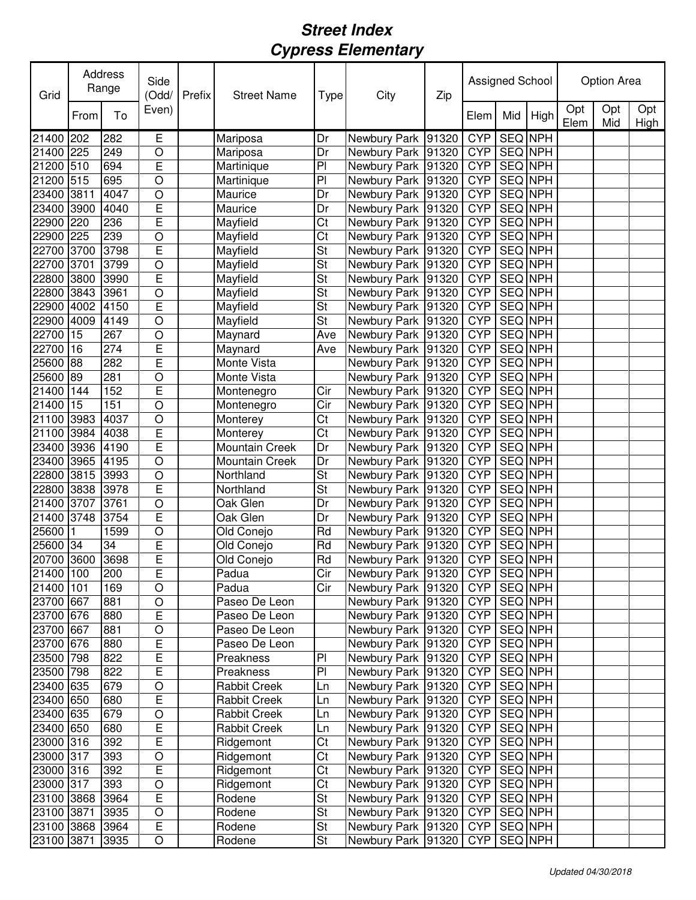| Grid       | Address<br>Range |      | Side<br>(Odd/  | Prefix | <b>Street Name</b> | Type                     | City                 | Zip   |            | Assigned School |                | <b>Option Area</b> |            |                    |
|------------|------------------|------|----------------|--------|--------------------|--------------------------|----------------------|-------|------------|-----------------|----------------|--------------------|------------|--------------------|
|            | From             | To   | Even)          |        |                    |                          |                      |       | Elem       | Mid             | High           | Opt<br>Elem        | Opt<br>Mid | Opt<br><b>High</b> |
| 21400 202  |                  | 282  | Е              |        | Mariposa           | Dr                       | Newbury Park         | 91320 | <b>CYP</b> | SEQ NPH         |                |                    |            |                    |
| 21400 225  |                  | 249  | $\circ$        |        | Mariposa           | Dr                       | Newbury Park         | 91320 | <b>CYP</b> | SEQ NPH         |                |                    |            |                    |
| 21200 510  |                  | 694  | E              |        | Martinique         | PI                       | Newbury Park         | 91320 | <b>CYP</b> | SEQ NPH         |                |                    |            |                    |
| 21200 515  |                  | 695  | $\circ$        |        | Martinique         | PI                       | Newbury Park         | 91320 | <b>CYP</b> | SEQ NPH         |                |                    |            |                    |
| 23400 3811 |                  | 4047 | O              |        | Maurice            | Dr                       | Newbury Park         | 91320 | <b>CYP</b> | SEQ NPH         |                |                    |            |                    |
| 23400 3900 |                  | 4040 | E              |        | Maurice            | Dr                       | Newbury Park         | 91320 | <b>CYP</b> | SEQ NPH         |                |                    |            |                    |
| 22900 220  |                  | 236  | E              |        | Mayfield           | Ct                       | Newbury Park         | 91320 | <b>CYP</b> | SEQ NPH         |                |                    |            |                    |
| 22900 225  |                  | 239  | O              |        | Mayfield           | Ct                       | Newbury Park         | 91320 | <b>CYP</b> | <b>SEQ NPH</b>  |                |                    |            |                    |
| 22700 3700 |                  | 3798 | E              |        | Mayfield           | <b>St</b>                | Newbury Park         | 91320 | <b>CYP</b> | <b>SEQ NPH</b>  |                |                    |            |                    |
| 22700 3701 |                  | 3799 | $\circ$        |        | Mayfield           | $\overline{\mathsf{St}}$ | Newbury Park         | 91320 | <b>CYP</b> | <b>SEQ NPH</b>  |                |                    |            |                    |
| 22800 3800 |                  | 3990 | E              |        | Mayfield           | $\overline{\mathsf{St}}$ | Newbury Park 91320   |       | <b>CYP</b> | <b>SEQ NPH</b>  |                |                    |            |                    |
| 22800 3843 |                  | 3961 | $\circ$        |        | Mayfield           | $\overline{\mathsf{St}}$ | Newbury Park 91320   |       | <b>CYP</b> | <b>SEQ NPH</b>  |                |                    |            |                    |
| 22900 4002 |                  | 4150 | Ē              |        | Mayfield           | $\overline{\mathsf{St}}$ | Newbury Park 91320   |       | <b>CYP</b> | <b>SEQ NPH</b>  |                |                    |            |                    |
| 22900 4009 |                  | 4149 | $\overline{O}$ |        | Mayfield           | St                       | Newbury Park 91320   |       | <b>CYP</b> | <b>SEQ NPH</b>  |                |                    |            |                    |
| 22700 15   |                  | 267  | $\circ$        |        | Maynard            | Ave                      | Newbury Park         | 91320 | <b>CYP</b> | <b>SEQ NPH</b>  |                |                    |            |                    |
| 22700 16   |                  | 274  | E              |        | Maynard            | Ave                      | Newbury Park         | 91320 | <b>CYP</b> | <b>SEQ NPH</b>  |                |                    |            |                    |
| 25600      | 88               | 282  | E              |        | Monte Vista        |                          | Newbury Park         | 91320 | <b>CYP</b> | <b>SEQ NPH</b>  |                |                    |            |                    |
| 25600 89   |                  | 281  | O              |        | Monte Vista        |                          | Newbury Park         | 91320 | <b>CYP</b> | SEQ NPH         |                |                    |            |                    |
| 21400 144  |                  | 152  | Ē              |        | Montenegro         | Cir                      | Newbury Park         | 91320 | <b>CYP</b> | SEQ NPH         |                |                    |            |                    |
| 21400      | 15               | 151  | $\circ$        |        | Montenegro         | Cir                      | Newbury Park         | 91320 | <b>CYP</b> | SEQ NPH         |                |                    |            |                    |
| 21100 3983 |                  | 4037 | $\circ$        |        | Monterey           | Ct                       | Newbury Park         | 91320 | <b>CYP</b> | SEQ NPH         |                |                    |            |                    |
| 21100 3984 |                  | 4038 | E              |        | Monterey           | Ct                       | Newbury Park         | 91320 | <b>CYP</b> | SEQ NPH         |                |                    |            |                    |
| 23400 3936 |                  | 4190 | E              |        | Mountain Creek     | Dr                       | Newbury Park         | 91320 | <b>CYP</b> | SEQ NPH         |                |                    |            |                    |
| 23400 3965 |                  | 4195 | $\circ$        |        | Mountain Creek     | Dr                       | Newbury Park         | 91320 | <b>CYP</b> | SEQ NPH         |                |                    |            |                    |
| 22800 3815 |                  | 3993 | $\circ$        |        | Northland          | <b>St</b>                | Newbury Park         | 91320 | <b>CYP</b> | SEQ NPH         |                |                    |            |                    |
| 22800 3838 |                  | 3978 | E              |        | Northland          | <b>St</b>                | Newbury Park         | 91320 | <b>CYP</b> | SEQ NPH         |                |                    |            |                    |
| 21400 3707 |                  | 3761 | $\overline{O}$ |        | Oak Glen           | Dr                       | Newbury Park         | 91320 | <b>CYP</b> | SEQ NPH         |                |                    |            |                    |
| 21400 3748 |                  | 3754 | E              |        | Oak Glen           | Dr                       | Newbury Park         | 91320 | <b>CYP</b> | <b>SEQ NPH</b>  |                |                    |            |                    |
| 25600      | 1                | 1599 | $\circ$        |        | Old Conejo         | Rd                       | Newbury Park         | 91320 | <b>CYP</b> | SEQ NPH         |                |                    |            |                    |
| 25600 34   |                  | 34   | E              |        | Old Conejo         | Rd                       | Newbury Park         | 91320 | <b>CYP</b> | SEQ NPH         |                |                    |            |                    |
| 20700 3600 |                  | 3698 | Ē              |        | Old Conejo         | Rd                       | Newbury Park 91320   |       | <b>CYP</b> | <b>SEQ</b> NPH  |                |                    |            |                    |
| 21400 100  |                  | 200  | E              |        | Padua              | Cir                      | Newbury Park 91320   |       | <b>CYP</b> | <b>SEQ NPH</b>  |                |                    |            |                    |
| 21400 101  |                  | 169  | $\circ$        |        | Padua              | Cir                      | Newbury Park 91320   |       | <b>CYP</b> | SEQ NPH         |                |                    |            |                    |
| 23700 667  |                  | 881  | $\bigcirc$     |        | Paseo De Leon      |                          | Newbury Park 91320   |       | <b>CYP</b> | SEQ NPH         |                |                    |            |                    |
| 23700 676  |                  | 880  | E              |        | Paseo De Leon      |                          | Newbury Park 91320   |       | <b>CYP</b> | SEQ NPH         |                |                    |            |                    |
| 23700 667  |                  | 881  | $\circ$        |        | Paseo De Leon      |                          | Newbury Park 91320   |       | <b>CYP</b> | <b>SEQ NPH</b>  |                |                    |            |                    |
| 23700 676  |                  | 880  | E              |        | Paseo De Leon      |                          | Newbury Park 91320   |       | <b>CYP</b> |                 | <b>SEQ NPH</b> |                    |            |                    |
| 23500 798  |                  | 822  | E              |        | Preakness          | PI                       | Newbury Park 91320   |       | <b>CYP</b> |                 | SEQ NPH        |                    |            |                    |
| 23500 798  |                  | 822  | E              |        | Preakness          | $\overline{P}$           | Newbury Park 91320   |       | <b>CYP</b> |                 | <b>SEQ NPH</b> |                    |            |                    |
| 23400 635  |                  | 679  | $\bigcirc$     |        | Rabbit Creek       | Ln                       | Newbury Park 91320   |       | <b>CYP</b> |                 | <b>SEQ NPH</b> |                    |            |                    |
| 23400 650  |                  | 680  | E              |        | Rabbit Creek       | Ln                       | Newbury Park 91320   |       | <b>CYP</b> |                 | SEQ NPH        |                    |            |                    |
| 23400 635  |                  | 679  | $\bigcirc$     |        | Rabbit Creek       | Ln                       | Newbury Park 91320   |       | <b>CYP</b> |                 | SEQ NPH        |                    |            |                    |
| 23400 650  |                  | 680  | E              |        | Rabbit Creek       | Ln                       | Newbury Park 91320   |       | <b>CYP</b> |                 | SEQ NPH        |                    |            |                    |
| 23000 316  |                  | 392  | E              |        | Ridgemont          | Ct                       | Newbury Park 91320   |       | <b>CYP</b> |                 | SEQ NPH        |                    |            |                    |
| 23000 317  |                  | 393  | $\circ$        |        | Ridgemont          | Ct                       | Newbury Park 91320   |       | <b>CYP</b> |                 | SEQ NPH        |                    |            |                    |
| 23000 316  |                  | 392  | E              |        | Ridgemont          | Ct                       | Newbury Park 91320   |       | <b>CYP</b> |                 | SEQ NPH        |                    |            |                    |
| 23000 317  |                  | 393  | $\circ$        |        | Ridgemont          | Ct                       | Newbury Park 91320   |       | <b>CYP</b> |                 | SEQ NPH        |                    |            |                    |
| 23100 3868 |                  | 3964 | E              |        | Rodene             | St                       | Newbury Park 91320   |       | <b>CYP</b> | SEQ NPH         |                |                    |            |                    |
| 23100 3871 |                  | 3935 | $\circ$        |        | Rodene             | <b>St</b>                | Newbury Park 91320   |       | <b>CYP</b> | SEQ NPH         |                |                    |            |                    |
| 23100 3868 |                  | 3964 | E              |        | Rodene             | <b>St</b>                | Newbury Park   91320 |       | <b>CYP</b> | SEQ NPH         |                |                    |            |                    |
| 23100 3871 |                  | 3935 | O              |        | Rodene             | <b>St</b>                | Newbury Park 91320   |       | <b>CYP</b> |                 | SEQ NPH        |                    |            |                    |
|            |                  |      |                |        |                    |                          |                      |       |            |                 |                |                    |            |                    |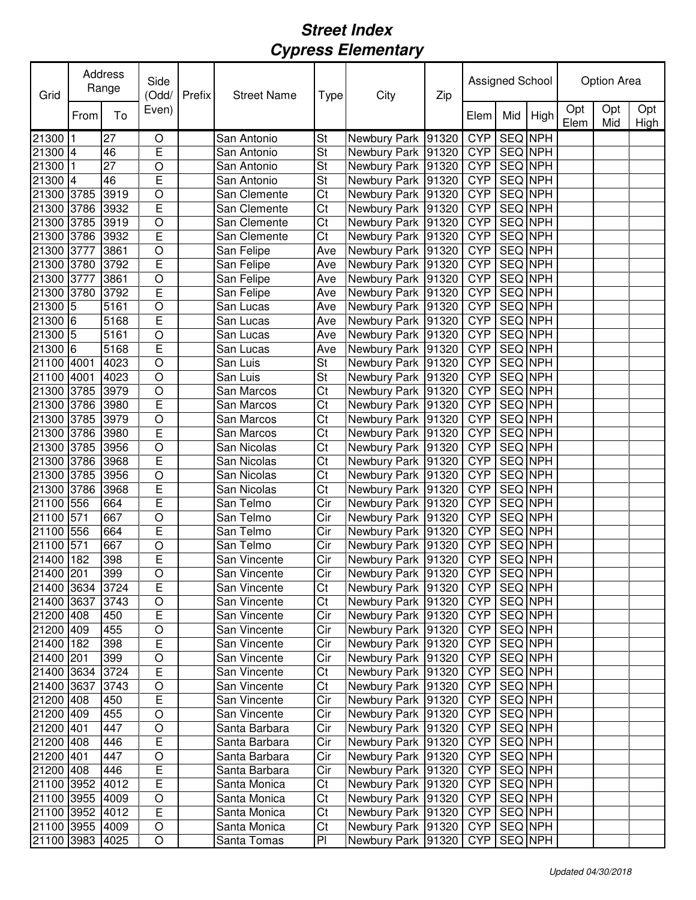| Grid            |      | Address<br>Range | Side<br>(Odd/  | Prefix | <b>Street Name</b> | Type                    | City                 | Zip   | Assigned School |                |                | <b>Option Area</b> |            |             |
|-----------------|------|------------------|----------------|--------|--------------------|-------------------------|----------------------|-------|-----------------|----------------|----------------|--------------------|------------|-------------|
|                 | From | To               | Even)          |        |                    |                         |                      |       | Elem            | Mid            | High           | Opt<br>Elem        | Opt<br>Mid | Opt<br>High |
| 21300 1         |      | 27               | O              |        | San Antonio        | <b>St</b>               | Newbury Park 91320   |       | <b>CYP</b>      | SEQ NPH        |                |                    |            |             |
| 21300 4         |      | 46               | E              |        | San Antonio        | St                      | Newbury Park 91320   |       | <b>CYP</b>      | SEQ NPH        |                |                    |            |             |
| 21300 1         |      | 27               | O              |        | San Antonio        | St                      | Newbury Park 91320   |       | <b>CYP</b>      | SEQ NPH        |                |                    |            |             |
| 21300 4         |      | 46               | E              |        | San Antonio        | St                      | Newbury Park 91320   |       | <b>CYP</b>      | SEQ NPH        |                |                    |            |             |
| 21300 3785      |      | 3919             | O              |        | San Clemente       | Ct                      | Newbury Park 91320   |       | <b>CYP</b>      | SEQ NPH        |                |                    |            |             |
| 21300 3786      |      | 3932             | E              |        | San Clemente       | Ct                      | Newbury Park 91320   |       | <b>CYP</b>      | SEQ NPH        |                |                    |            |             |
| 21300 3785      |      | 3919             | O              |        | San Clemente       | Ct                      | Newbury Park 91320   |       | <b>CYP</b>      | SEQ NPH        |                |                    |            |             |
| 21300 3786      |      | 3932             | E              |        | San Clemente       | Ct                      | Newbury Park 91320   |       | <b>CYP</b>      | <b>SEQ NPH</b> |                |                    |            |             |
| 21300 3777      |      | 3861             | O              |        | San Felipe         | Ave                     | Newbury Park 91320   |       | <b>CYP</b>      | <b>SEQ NPH</b> |                |                    |            |             |
| 21300 3780      |      | 3792             | E              |        | San Felipe         | Ave                     | Newbury Park 91320   |       | <b>CYP</b>      | <b>SEQ NPH</b> |                |                    |            |             |
| 21300 3777      |      | 3861             | O              |        | San Felipe         | Ave                     | Newbury Park 91320   |       | <b>CYP</b>      | <b>SEQ NPH</b> |                |                    |            |             |
| 21300 3780      |      | 3792             | E              |        | San Felipe         | Ave                     | Newbury Park 91320   |       | <b>CYP</b>      | <b>SEQ NPH</b> |                |                    |            |             |
| $21300$ 5       |      | 5161             | O              |        | San Lucas          | Ave                     | Newbury Park 91320   |       | <b>CYP</b>      | <b>SEQ NPH</b> |                |                    |            |             |
| 21300 6         |      | 5168             | E              |        | San Lucas          | Ave                     | Newbury Park 91320   |       | <b>CYP</b>      | SEQ NPH        |                |                    |            |             |
| $21300$ 5       |      | 5161             | $\circ$        |        | San Lucas          | Ave                     | Newbury Park 91320   |       | <b>CYP</b>      | <b>SEQ NPH</b> |                |                    |            |             |
| 21300 6         |      | 5168             | E              |        | San Lucas          | Ave                     | Newbury Park 91320   |       | <b>CYP</b>      | <b>SEQ NPH</b> |                |                    |            |             |
| 21100 4001      |      | 4023             | $\circ$        |        | San Luis           | St                      | Newbury Park 91320   |       | <b>CYP</b>      | <b>SEQ NPH</b> |                |                    |            |             |
| 21100 4001      |      | 4023             | O              |        | San Luis           | <b>St</b>               | Newbury Park 91320   |       | <b>CYP</b>      | SEQ NPH        |                |                    |            |             |
| 21300 3785      |      | 3979             | O              |        | San Marcos         | Ct                      | Newbury Park 91320   |       | <b>CYP</b>      | SEQ NPH        |                |                    |            |             |
| 21300 3786      |      | 3980             | E              |        | San Marcos         | Ct                      | Newbury Park 91320   |       | <b>CYP</b>      | SEQ NPH        |                |                    |            |             |
| 21300 3785      |      | 3979             | O              |        | San Marcos         | Ct                      | Newbury Park 91320   |       | <b>CYP</b>      | SEQ NPH        |                |                    |            |             |
| 21300 3786      |      | 3980             | E              |        | San Marcos         | Ct                      | Newbury Park 91320   |       | <b>CYP</b>      | SEQ NPH        |                |                    |            |             |
| 21300 3785      |      | 3956             | O              |        | San Nicolas        | Ct                      | Newbury Park 91320   |       | <b>CYP</b>      | SEQ NPH        |                |                    |            |             |
| 21300 3786      |      | 3968             | E              |        | San Nicolas        | Ct                      | Newbury Park 91320   |       | <b>CYP</b>      | SEQ NPH        |                |                    |            |             |
| 21300 3785      |      | 3956             | O              |        | San Nicolas        | Ct                      | Newbury Park         | 91320 | <b>CYP</b>      | SEQ NPH        |                |                    |            |             |
| 21300 3786      |      | 3968             | E              |        | San Nicolas        | Ct                      | Newbury Park 91320   |       | <b>CYP</b>      | SEQ NPH        |                |                    |            |             |
| 21100 556       |      | 664              | E              |        | San Telmo          | Cir                     | Newbury Park 91320   |       | <b>CYP</b>      | SEQ NPH        |                |                    |            |             |
| 21100 571       |      | 667              | $\circ$        |        | San Telmo          | Cir                     | Newbury Park 91320   |       | <b>CYP</b>      | SEQ NPH        |                |                    |            |             |
| 21100 556       |      | 664              | E              |        | San Telmo          | Cir                     | Newbury Park 91320   |       | <b>CYP</b>      | SEQ NPH        |                |                    |            |             |
| 21100 571       |      | 667              | O              |        | San Telmo          | Cir                     | Newbury Park 91320   |       | <b>CYP</b>      | SEQ NPH        |                |                    |            |             |
| 21400 182       |      | 398              | E              |        | San Vincente       | Cir                     | Newbury Park 91320   |       | <b>CYP</b>      | <b>SEQ NPH</b> |                |                    |            |             |
| 21400 201       |      | 399              | $\overline{O}$ |        | San Vincente       | $\overline{\text{Cir}}$ | Newbury Park 91320   |       | CYP             | <b>SEQ NPH</b> |                |                    |            |             |
| 21400 3634      |      | 3724             | Ē              |        | San Vincente       | Ct                      | Newbury Park   91320 |       |                 | CYP   SEQ NPH  |                |                    |            |             |
| 21400 3637      |      | 3743             | $\mathsf O$    |        | San Vincente       | Ct                      | Newbury Park 91320   |       |                 | CYP SEQ NPH    |                |                    |            |             |
| 21200 408       |      | 450              | E              |        | San Vincente       | Cir                     | Newbury Park 91320   |       | <b>CYP</b>      |                | SEQ NPH        |                    |            |             |
| 21200 409       |      | 455              | $\overline{O}$ |        | San Vincente       | Cir                     | Newbury Park   91320 |       | <b>CYP</b>      |                | SEQ NPH        |                    |            |             |
| 21400 182       |      | 398              | E              |        | San Vincente       | Cir                     | Newbury Park   91320 |       | <b>CYP</b>      |                | SEQ NPH        |                    |            |             |
| 21400 201       |      | 399              | $\circ$        |        | San Vincente       | Cir                     | Newbury Park   91320 |       | <b>CYP</b>      |                | <b>SEQ NPH</b> |                    |            |             |
| 21400 3634      |      | 3724             | E              |        | San Vincente       | Ct                      | Newbury Park   91320 |       | <b>CYP</b>      |                | SEQ NPH        |                    |            |             |
| 21400 3637      |      | 3743             | $\circ$        |        | San Vincente       | Ct                      | Newbury Park 91320   |       | <b>CYP</b>      |                | SEQ NPH        |                    |            |             |
| 21200 408       |      | 450              | E              |        | San Vincente       | Cir                     | Newbury Park 91320   |       | <b>CYP</b>      | <b>SEQ NPH</b> |                |                    |            |             |
| 21200 409       |      | 455              | $\bigcirc$     |        | San Vincente       | Cir                     | Newbury Park 91320   |       | <b>CYP</b>      | SEQ NPH        |                |                    |            |             |
| 21200 401       |      | 447              | $\bigcirc$     |        | Santa Barbara      | Cir                     | Newbury Park 91320   |       | <b>CYP</b>      |                | SEQ NPH        |                    |            |             |
| 21200 408       |      | 446              | E              |        | Santa Barbara      | Cir                     | Newbury Park 91320   |       | <b>CYP</b>      |                | SEQ NPH        |                    |            |             |
| 21200 401       |      | 447              | $\circ$        |        | Santa Barbara      | Cir                     | Newbury Park   91320 |       | <b>CYP</b>      |                | SEQ NPH        |                    |            |             |
| 21200 408       |      | 446              | E              |        | Santa Barbara      | Cir                     | Newbury Park 91320   |       | <b>CYP</b>      |                | SEQ NPH        |                    |            |             |
| 21100 3952      |      | 4012             | E              |        | Santa Monica       | Ct                      | Newbury Park 91320   |       | <b>CYP</b>      |                | SEQ NPH        |                    |            |             |
| 21100 3955      |      | 4009             | O              |        | Santa Monica       | Ct                      | Newbury Park 91320   |       | <b>CYP</b>      |                | SEQ NPH        |                    |            |             |
| 21100 3952 4012 |      |                  | E              |        | Santa Monica       | Ct                      | Newbury Park 91320   |       | <b>CYP</b>      | SEQ NPH        |                |                    |            |             |
| 21100 3955 4009 |      |                  | O              |        | Santa Monica       | Ct                      | Newbury Park 91320   |       | <b>CYP</b>      | SEQ NPH        |                |                    |            |             |
| 21100 3983      |      | 4025             | O              |        | Santa Tomas        | PI                      | Newbury Park 91320   |       | <b>CYP</b>      |                | SEQ NPH        |                    |            |             |
|                 |      |                  |                |        |                    |                         |                      |       |                 |                |                |                    |            |             |